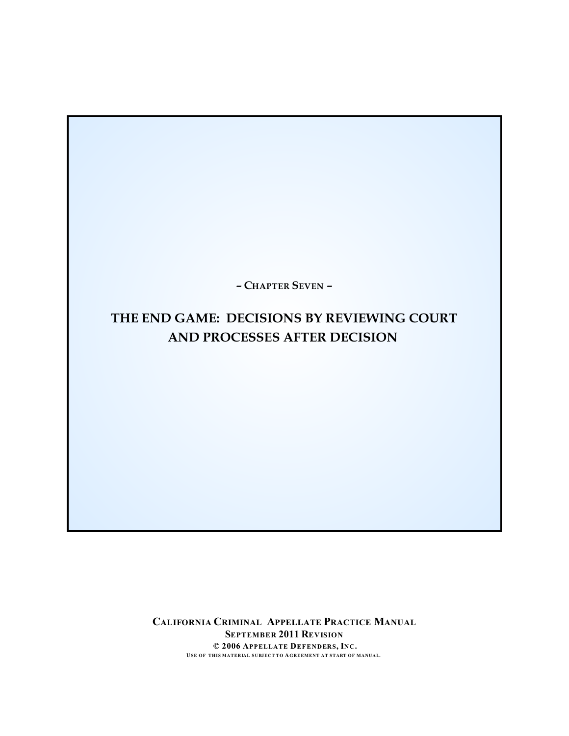**– CHAPTER SEVEN –**

# **THE END GAME: DECISIONS BY REVIEWING COURT AND PROCESSES AFTER DECISION**

**CALIFORNIA CRIMINAL APPELLATE PRACTICE MANUAL SEPTEMBER 2011 REVISION © 2006 APPELLATE DEFENDERS, INC. USE OF THIS MATERIAL SUBJECT TO AGREEMENT AT START OF MANUAL.**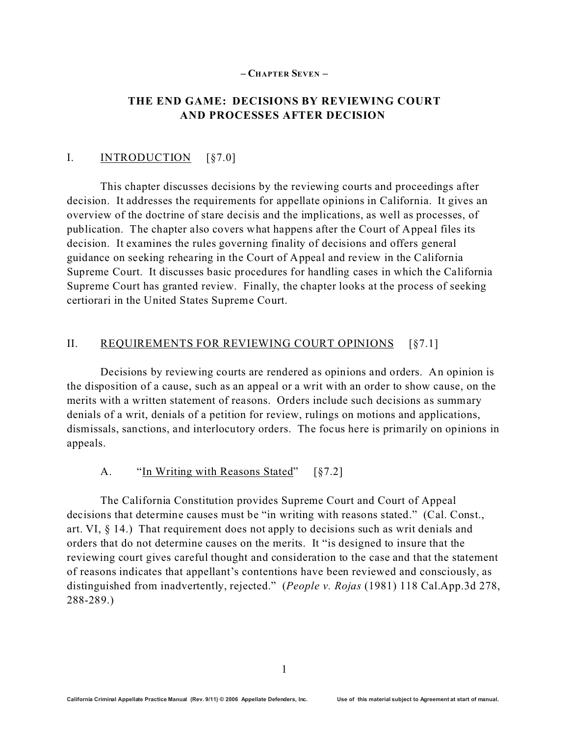#### **– CHAPTER SEVEN –**

### **THE END GAME: DECISIONS BY REVIEWING COURT AND PROCESSES AFTER DECISION**

#### I. **INTRODUCTION** [§7.0]

This chapter discusses decisions by the reviewing courts and proceedings after decision. It addresses the requirements for appellate opinions in California. It gives an overview of the doctrine of stare decisis and the implications, as well as processes, of publication. The chapter also covers what happens after the Court of Appeal files its decision. It examines the rules governing finality of decisions and offers general guidance on seeking rehearing in the Court of Appeal and review in the California Supreme Court. It discusses basic procedures for handling cases in which the California Supreme Court has granted review. Finally, the chapter looks at the process of seeking certiorari in the United States Supreme Court.

#### II. REQUIREMENTS FOR REVIEWING COURT OPINIONS [§7.1]

Decisions by reviewing courts are rendered as opinions and orders. An opinion is the disposition of a cause, such as an appeal or a writ with an order to show cause, on the merits with a written statement of reasons. Orders include such decisions as summary denials of a writ, denials of a petition for review, rulings on motions and applications, dismissals, sanctions, and interlocutory orders. The focus here is primarily on opinions in appeals.

#### A. "In Writing with Reasons Stated" [§7.2]

The California Constitution provides Supreme Court and Court of Appeal decisions that determine causes must be "in writing with reasons stated." (Cal. Const., art. VI,  $\S$  14.) That requirement does not apply to decisions such as writ denials and orders that do not determine causes on the merits. It "is designed to insure that the reviewing court gives careful thought and consideration to the case and that the statement of reasons indicates that appellant's contentions have been reviewed and consciously, as distinguished from inadvertently, rejected." (*People v. Rojas* (1981) 118 Cal.App.3d 278, 288-289.)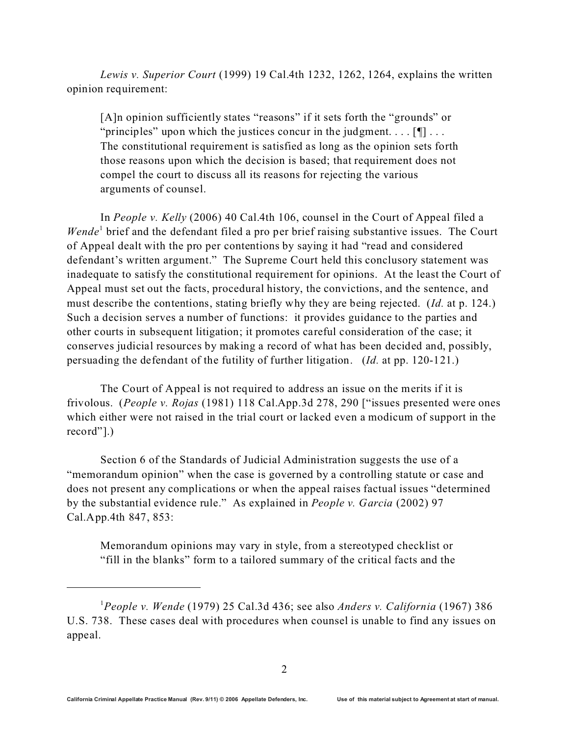*Lewis v. Superior Court* (1999) 19 Cal.4th 1232, 1262, 1264, explains the written opinion requirement:

[A]n opinion sufficiently states "reasons" if it sets forth the "grounds" or "principles" upon which the justices concur in the judgment...  $[\n\mathbb{T}]$ ... The constitutional requirement is satisfied as long as the opinion sets forth those reasons upon which the decision is based; that requirement does not compel the court to discuss all its reasons for rejecting the various arguments of counsel.

In *People v. Kelly* (2006) 40 Cal.4th 106, counsel in the Court of Appeal filed a Wende<sup>1</sup> brief and the defendant filed a pro per brief raising substantive issues. The Court of Appeal dealt with the pro per contentions by saying it had "read and considered defendant's written argument." The Supreme Court held this conclusory statement was inadequate to satisfy the constitutional requirement for opinions. At the least the Court of Appeal must set out the facts, procedural history, the convictions, and the sentence, and must describe the contentions, stating briefly why they are being rejected. (*Id.* at p. 124.) Such a decision serves a number of functions: it provides guidance to the parties and other courts in subsequent litigation; it promotes careful consideration of the case; it conserves judicial resources by making a record of what has been decided and, possibly, persuading the defendant of the futility of further litigation. (*Id.* at pp. 120-121.)

The Court of Appeal is not required to address an issue on the merits if it is frivolous. (*People v. Rojas* (1981) 118 Cal.App.3d 278, 290 ["issues presented were ones which either were not raised in the trial court or lacked even a modicum of support in the record"].)

Section 6 of the Standards of Judicial Administration suggests the use of a "memorandum opinion" when the case is governed by a controlling statute or case and does not present any complications or when the appeal raises factual issues "determined by the substantial evidence rule." As explained in *People v. Garcia* (2002) 97 Cal.App.4th 847, 853:

Memorandum opinions may vary in style, from a stereotyped checklist or "fill in the blanks" form to a tailored summary of the critical facts and the

<sup>1</sup>*People v. Wende* (1979) 25 Cal.3d 436; see also *Anders v. California* (1967) 386 U.S. 738. These cases deal with procedures when counsel is unable to find any issues on appeal.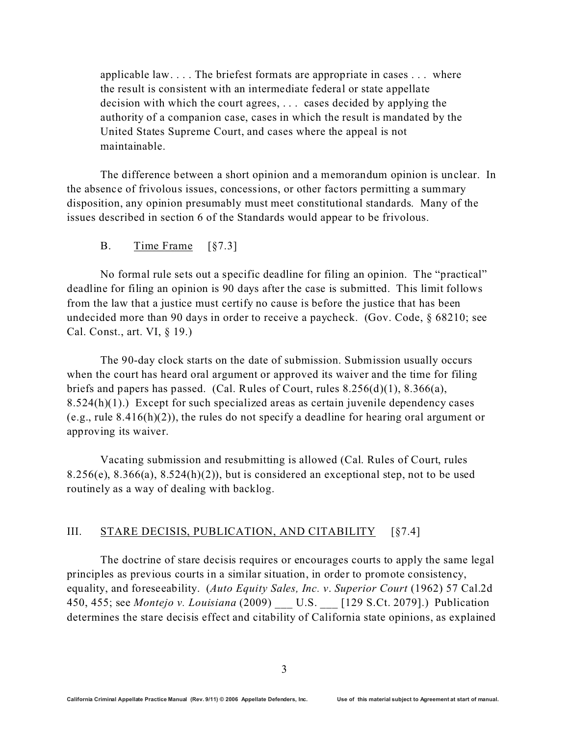applicable law. . . . The briefest formats are appropriate in cases . . . where the result is consistent with an intermediate federal or state appellate decision with which the court agrees, . . . cases decided by applying the authority of a companion case, cases in which the result is mandated by the United States Supreme Court, and cases where the appeal is not maintainable.

The difference between a short opinion and a memorandum opinion is unclear. In the absence of frivolous issues, concessions, or other factors permitting a summary disposition, any opinion presumably must meet constitutional standards. Many of the issues described in section 6 of the Standards would appear to be frivolous.

B. Time Frame [§7.3]

No formal rule sets out a specific deadline for filing an opinion. The "practical" deadline for filing an opinion is 90 days after the case is submitted. This limit follows from the law that a justice must certify no cause is before the justice that has been undecided more than 90 days in order to receive a paycheck. (Gov. Code, § 68210; see Cal. Const., art. VI, § 19.)

The 90-day clock starts on the date of submission. Submission usually occurs when the court has heard oral argument or approved its waiver and the time for filing briefs and papers has passed. (Cal. Rules of Court, rules 8.256(d)(1), 8.366(a), 8.524(h)(1).) Except for such specialized areas as certain juvenile dependency cases (e.g., rule 8.416(h)(2)), the rules do not specify a deadline for hearing oral argument or approving its waiver.

Vacating submission and resubmitting is allowed (Cal. Rules of Court, rules 8.256(e), 8.366(a), 8.524(h)(2)), but is considered an exceptional step, not to be used routinely as a way of dealing with backlog.

### III. STARE DECISIS, PUBLICATION, AND CITABILITY [§7.4]

The doctrine of stare decisis requires or encourages courts to apply the same legal principles as previous courts in a similar situation, in order to promote consistency, equality, and foreseeability. (*Auto Equity Sales, Inc. v*. *Superior Court* (1962) 57 Cal.2d 450, 455; see *Montejo v. Louisiana* (2009) \_\_\_ U.S. \_\_\_ [129 S.Ct. 2079].) Publication determines the stare decisis effect and citability of California state opinions, as explained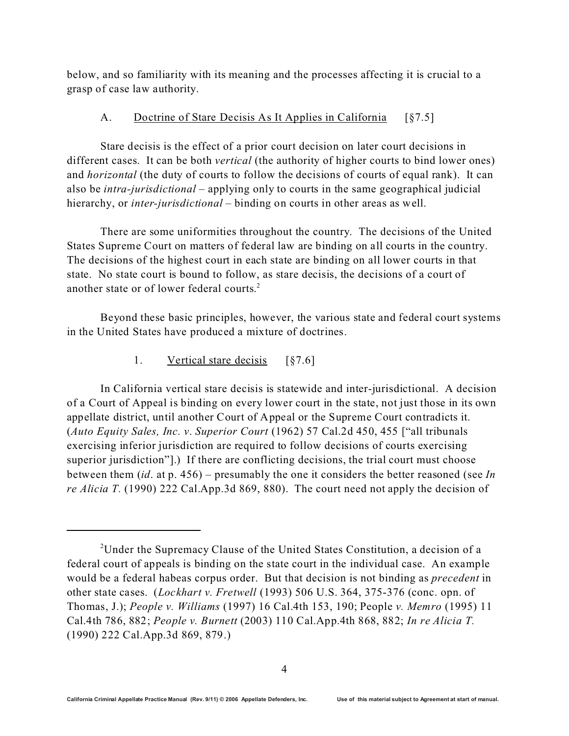below, and so familiarity with its meaning and the processes affecting it is crucial to a grasp of case law authority.

### A. Doctrine of Stare Decisis As It Applies in California [§7.5]

Stare decisis is the effect of a prior court decision on later court decisions in different cases. It can be both *vertical* (the authority of higher courts to bind lower ones) and *horizontal* (the duty of courts to follow the decisions of courts of equal rank). It can also be *intra-jurisdictional* – applying only to courts in the same geographical judicial hierarchy, or *inter-jurisdictional* – binding on courts in other areas as well.

There are some uniformities throughout the country. The decisions of the United States Supreme Court on matters of federal law are binding on all courts in the country. The decisions of the highest court in each state are binding on all lower courts in that state. No state court is bound to follow, as stare decisis, the decisions of a court of another state or of lower federal courts. 2

Beyond these basic principles, however, the various state and federal court systems in the United States have produced a mixture of doctrines.

1. Vertical stare decisis [§7.6]

In California vertical stare decisis is statewide and inter-jurisdictional. A decision of a Court of Appeal is binding on every lower court in the state, not just those in its own appellate district, until another Court of Appeal or the Supreme Court contradicts it. (*Auto Equity Sales, Inc. v*. *Superior Court* (1962) 57 Cal.2d 450, 455 ["all tribunals exercising inferior jurisdiction are required to follow decisions of courts exercising superior jurisdiction"].) If there are conflicting decisions, the trial court must choose between them (*id*. at p. 456) – presumably the one it considers the better reasoned (see *In re Alicia T.* (1990) 222 Cal.App.3d 869, 880). The court need not apply the decision of

<sup>&</sup>lt;sup>2</sup>Under the Supremacy Clause of the United States Constitution, a decision of a federal court of appeals is binding on the state court in the individual case. An example would be a federal habeas corpus order. But that decision is not binding as *precedent* in other state cases. (*Lockhart v. Fretwell* (1993) 506 U.S. 364, 375-376 (conc. opn. of Thomas, J.); *People v. Williams* (1997) 16 Cal.4th 153, 190; People *v. Memro* (1995) 11 Cal.4th 786, 882; *People v. Burnett* (2003) 110 Cal.App.4th 868, 882; *In re Alicia T.* (1990) 222 Cal.App.3d 869, 879.)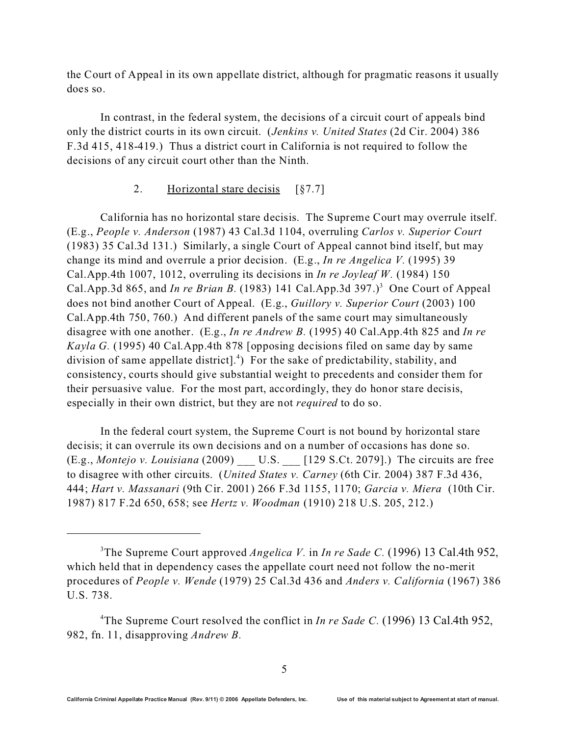the Court of Appeal in its own appellate district, although for pragmatic reasons it usually does so.

In contrast, in the federal system, the decisions of a circuit court of appeals bind only the district courts in its own circuit. (*Jenkins v. United States* (2d Cir. 2004) 386 F.3d 415, 418-419.) Thus a district court in California is not required to follow the decisions of any circuit court other than the Ninth.

### 2. Horizontal stare decisis [§7.7]

California has no horizontal stare decisis. The Supreme Court may overrule itself. (E.g., *People v. Anderson* (1987) 43 Cal.3d 1104, overruling *Carlos v. Superior Court* (1983) 35 Cal.3d 131.) Similarly, a single Court of Appeal cannot bind itself, but may change its mind and overrule a prior decision. (E.g., *In re Angelica V.* (1995) 39 Cal.App.4th 1007, 1012, overruling its decisions in *In re Joyleaf W.* (1984) 150 Cal.App.3d 865, and *In re Brian B*. (1983) 141 Cal.App.3d 397.)<sup>3</sup> One Court of Appeal does not bind another Court of Appeal. (E.g., *Guillory v. Superior Court* (2003) 100 Cal.App.4th 750, 760.) And different panels of the same court may simultaneously disagree with one another. (E.g., *In re Andrew B.* (1995) 40 Cal.App.4th 825 and *In re Kayla G.* (1995) 40 Cal.App.4th 878 [opposing decisions filed on same day by same division of same appellate district].<sup>4</sup>) For the sake of predictability, stability, and consistency, courts should give substantial weight to precedents and consider them for their persuasive value. For the most part, accordingly, they do honor stare decisis, especially in their own district, but they are not *required* to do so.

In the federal court system, the Supreme Court is not bound by horizontal stare decisis; it can overrule its own decisions and on a number of occasions has done so. (E.g., *Montejo v. Louisiana* (2009) \_\_\_ U.S. \_\_\_ [129 S.Ct. 2079].) The circuits are free to disagree with other circuits. (*United States v. Carney* (6th Cir. 2004) 387 F.3d 436, 444; *Hart v. Massanari* (9th Cir. 2001) 266 F.3d 1155, 1170; *Garcia v. Miera* (10th Cir. 1987) 817 F.2d 650, 658; see *Hertz v. Woodman* (1910) 218 U.S. 205, 212.)

<sup>3</sup>The Supreme Court approved *Angelica V.* in *In re Sade C.* (1996) 13 Cal.4th 952, which held that in dependency cases the appellate court need not follow the no-merit procedures of *People v. Wende* (1979) 25 Cal.3d 436 and *Anders v. California* (1967) 386 U.S. 738.

<sup>&</sup>lt;sup>4</sup>The Supreme Court resolved the conflict in *In re Sade C.* (1996) 13 Cal.4th 952, 982, fn. 11, disapproving *Andrew B.*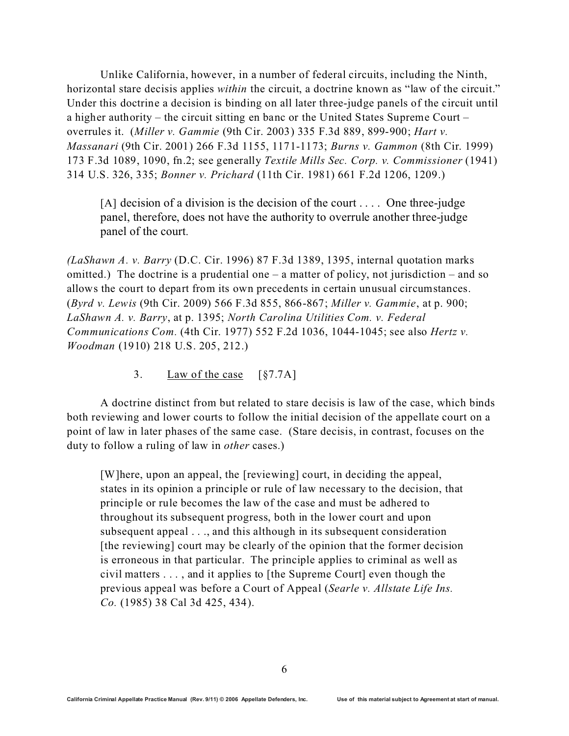Unlike California, however, in a number of federal circuits, including the Ninth, horizontal stare decisis applies *within* the circuit, a doctrine known as "law of the circuit." Under this doctrine a decision is binding on all later three-judge panels of the circuit until a higher authority – the circuit sitting en banc or the United States Supreme Court – overrules it. (*Miller v. Gammie* (9th Cir. 2003) 335 F.3d 889, 899-900; *Hart v. Massanari* (9th Cir. 2001) 266 F.3d 1155, 1171-1173; *Burns v. Gammon* (8th Cir. 1999) 173 F.3d 1089, 1090, fn.2; see generally *Textile Mills Sec. Corp. v. Commissioner* (1941) 314 U.S. 326, 335; *Bonner v. Prichard* (11th Cir. 1981) 661 F.2d 1206, 1209.)

 $[A]$  decision of a division is the decision of the court ... One three-judge panel, therefore, does not have the authority to overrule another three-judge panel of the court.

*(LaShawn A. v. Barry* (D.C. Cir. 1996) 87 F.3d 1389, 1395, internal quotation marks omitted.) The doctrine is a prudential one – a matter of policy, not jurisdiction – and so allows the court to depart from its own precedents in certain unusual circumstances. (*Byrd v. Lewis* (9th Cir. 2009) 566 F.3d 855, 866-867; *Miller v. Gammie*, at p. 900; *LaShawn A. v. Barry*, at p. 1395; *North Carolina Utilities Com. v. Federal Communications Com.* (4th Cir. 1977) 552 F.2d 1036, 1044-1045; see also *Hertz v. Woodman* (1910) 218 U.S. 205, 212.)

3. Law of the case [§7.7A]

A doctrine distinct from but related to stare decisis is law of the case, which binds both reviewing and lower courts to follow the initial decision of the appellate court on a point of law in later phases of the same case. (Stare decisis, in contrast, focuses on the duty to follow a ruling of law in *other* cases.)

[W]here, upon an appeal, the [reviewing] court, in deciding the appeal, states in its opinion a principle or rule of law necessary to the decision, that principle or rule becomes the law of the case and must be adhered to throughout its subsequent progress, both in the lower court and upon subsequent appeal . . ., and this although in its subsequent consideration [the reviewing] court may be clearly of the opinion that the former decision is erroneous in that particular. The principle applies to criminal as well as civil matters . . . , and it applies to [the Supreme Court] even though the previous appeal was before a Court of Appeal (*Searle v. Allstate Life Ins. Co.* (1985) 38 Cal 3d 425, 434).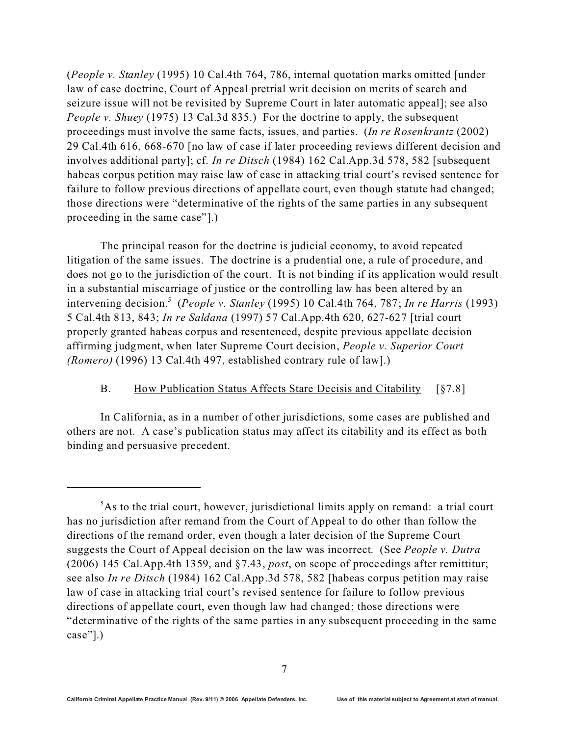(*People v. Stanley* (1995) 10 Cal.4th 764, 786, internal quotation marks omitted [under law of case doctrine, Court of Appeal pretrial writ decision on merits of search and seizure issue will not be revisited by Supreme Court in later automatic appeal]; see also *People v. Shuey* (1975) 13 Cal.3d 835.) For the doctrine to apply, the subsequent proceedings must involve the same facts, issues, and parties. (*In re Rosenkrantz* (2002) 29 Cal.4th 616, 668-670 [no law of case if later proceeding reviews different decision and involves additional party]; cf. *In re Ditsch* (1984) 162 Cal.App.3d 578, 582 [subsequent habeas corpus petition may raise law of case in attacking trial court's revised sentence for failure to follow previous directions of appellate court, even though statute had changed; those directions were "determinative of the rights of the same parties in any subsequent proceeding in the same case"].)

The principal reason for the doctrine is judicial economy, to avoid repeated litigation of the same issues. The doctrine is a prudential one, a rule of procedure, and does not go to the jurisdiction of the court. It is not binding if its application would result in a substantial miscarriage of justice or the controlling law has been altered by an intervening decision.<sup>5</sup> (*People v. Stanley* (1995) 10 Cal.4th 764, 787; *In re Harris* (1993) 5 Cal.4th 813, 843; *In re Saldana* (1997) 57 Cal.App.4th 620, 627-627 [trial court properly granted habeas corpus and resentenced, despite previous appellate decision affirming judgment, when later Supreme Court decision, *People v. Superior Court (Romero)* (1996) 13 Cal.4th 497, established contrary rule of law].)

#### B. How Publication Status Affects Stare Decisis and Citability [§7.8]

In California, as in a number of other jurisdictions, some cases are published and others are not. A case's publication status may affect its citability and its effect as both binding and persuasive precedent.

<sup>&</sup>lt;sup>5</sup>As to the trial court, however, jurisdictional limits apply on remand: a trial court has no jurisdiction after remand from the Court of Appeal to do other than follow the directions of the remand order, even though a later decision of the Supreme Court suggests the Court of Appeal decision on the law was incorrect. (See *People v. Dutra* (2006) 145 Cal.App.4th 1359, and §7.43, *post*, on scope of proceedings after remittitur; see also *In re Ditsch* (1984) 162 Cal.App.3d 578, 582 [habeas corpus petition may raise law of case in attacking trial court's revised sentence for failure to follow previous directions of appellate court, even though law had changed; those directions were "determinative of the rights of the same parties in any subsequent proceeding in the same case"].)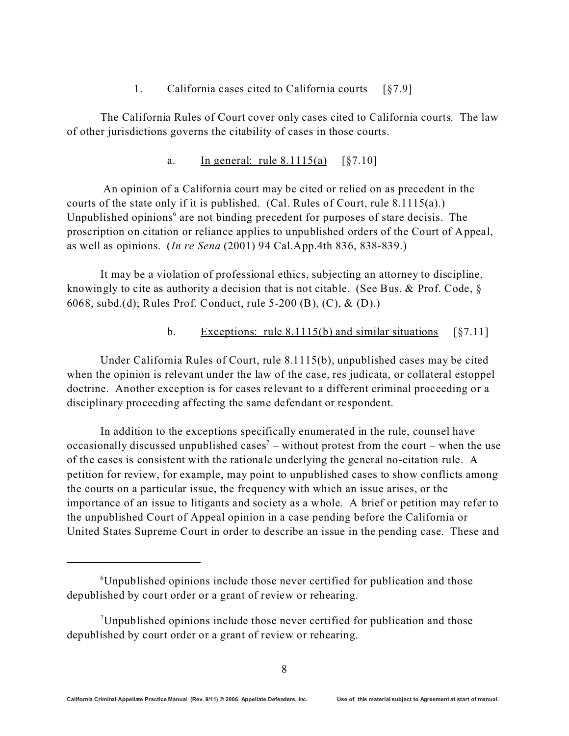### 1. California cases cited to California courts [§7.9]

The California Rules of Court cover only cases cited to California courts. The law of other jurisdictions governs the citability of cases in those courts.

## a. In general: rule  $8.1115(a)$   $\S7.10$ ]

 An opinion of a California court may be cited or relied on as precedent in the courts of the state only if it is published. (Cal. Rules of Court, rule 8.1115(a).) Unpublished opinions<sup>6</sup> are not binding precedent for purposes of stare decisis. The proscription on citation or reliance applies to unpublished orders of the Court of Appeal, as well as opinions. (*In re Sena* (2001) 94 Cal.App.4th 836, 838-839.)

It may be a violation of professional ethics, subjecting an attorney to discipline, knowingly to cite as authority a decision that is not citable. (See Bus. & Prof. Code, § 6068, subd.(d); Rules Prof. Conduct, rule 5-200 (B), (C), & (D).)

## b. Exceptions: rule  $8.1115(b)$  and similar situations [ $§7.11$ ]

Under California Rules of Court, rule 8.1115(b), unpublished cases may be cited when the opinion is relevant under the law of the case, res judicata, or collateral estoppel doctrine. Another exception is for cases relevant to a different criminal proceeding or a disciplinary proceeding affecting the same defendant or respondent.

In addition to the exceptions specifically enumerated in the rule, counsel have occasionally discussed unpublished cases<sup>7</sup> – without protest from the court – when the use of the cases is consistent with the rationale underlying the general no-citation rule. A petition for review, for example, may point to unpublished cases to show conflicts among the courts on a particular issue, the frequency with which an issue arises, or the importance of an issue to litigants and society as a whole. A brief or petition may refer to the unpublished Court of Appeal opinion in a case pending before the California or United States Supreme Court in order to describe an issue in the pending case. These and

<sup>&</sup>lt;sup>6</sup>Unpublished opinions include those never certified for publication and those depublished by court order or a grant of review or rehearing.

<sup>7</sup>Unpublished opinions include those never certified for publication and those depublished by court order or a grant of review or rehearing.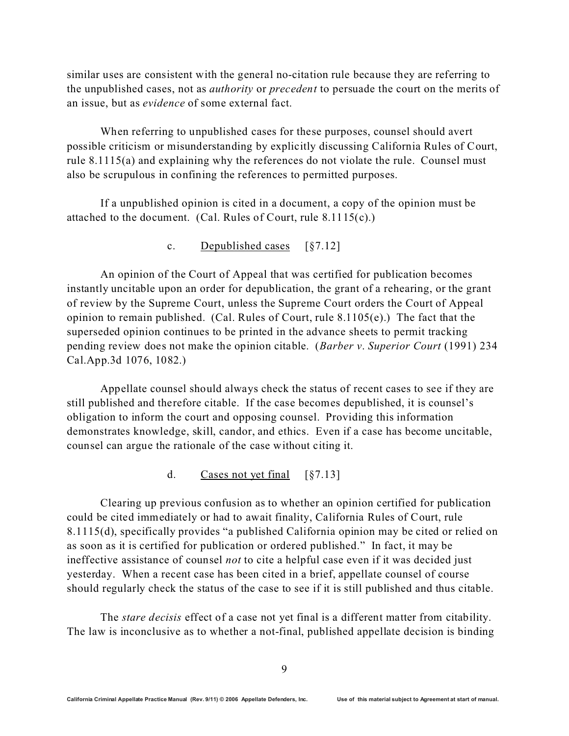similar uses are consistent with the general no-citation rule because they are referring to the unpublished cases, not as *authority* or *precedent* to persuade the court on the merits of an issue, but as *evidence* of some external fact.

When referring to unpublished cases for these purposes, counsel should avert possible criticism or misunderstanding by explicitly discussing California Rules of Court, rule 8.1115(a) and explaining why the references do not violate the rule. Counsel must also be scrupulous in confining the references to permitted purposes.

If a unpublished opinion is cited in a document, a copy of the opinion must be attached to the document. (Cal. Rules of Court, rule 8.1115(c).)

#### c. Depublished cases [§7.12]

An opinion of the Court of Appeal that was certified for publication becomes instantly uncitable upon an order for depublication, the grant of a rehearing, or the grant of review by the Supreme Court, unless the Supreme Court orders the Court of Appeal opinion to remain published. (Cal. Rules of Court, rule  $8.1105(e)$ .) The fact that the superseded opinion continues to be printed in the advance sheets to permit tracking pending review does not make the opinion citable. (*Barber v*. *Superior Court* (1991) 234 Cal.App.3d 1076, 1082.)

Appellate counsel should always check the status of recent cases to see if they are still published and therefore citable. If the case becomes depublished, it is counsel's obligation to inform the court and opposing counsel. Providing this information demonstrates knowledge, skill, candor, and ethics. Even if a case has become uncitable, counsel can argue the rationale of the case without citing it.

#### d. Cases not yet final [§7.13]

Clearing up previous confusion as to whether an opinion certified for publication could be cited immediately or had to await finality, California Rules of Court, rule 8.1115(d), specifically provides "a published California opinion may be cited or relied on as soon as it is certified for publication or ordered published." In fact, it may be ineffective assistance of counsel *not* to cite a helpful case even if it was decided just yesterday. When a recent case has been cited in a brief, appellate counsel of course should regularly check the status of the case to see if it is still published and thus citable.

The *stare decisis* effect of a case not yet final is a different matter from citability. The law is inconclusive as to whether a not-final, published appellate decision is binding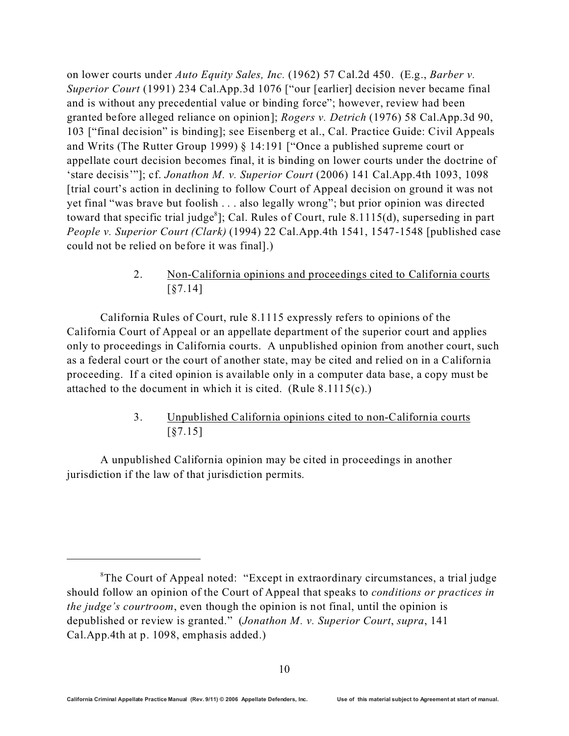on lower courts under *Auto Equity Sales, Inc.* (1962) 57 Cal.2d 450. (E.g., *Barber v. Superior Court* (1991) 234 Cal.App.3d 1076 ["our [earlier] decision never became final and is without any precedential value or binding force"; however, review had been granted before alleged reliance on opinion]; *Rogers v. Detrich* (1976) 58 Cal.App.3d 90, 103 ["final decision" is binding]; see Eisenberg et al., Cal. Practice Guide: Civil Appeals and Writs (The Rutter Group 1999) § 14:191 ["Once a published supreme court or appellate court decision becomes final, it is binding on lower courts under the doctrine of 'stare decisis'"]; cf. *Jonathon M. v. Superior Court* (2006) 141 Cal.App.4th 1093, 1098 [trial court's action in declining to follow Court of Appeal decision on ground it was not yet final "was brave but foolish . . . also legally wrong"; but prior opinion was directed toward that specific trial judge<sup>8</sup>]; Cal. Rules of Court, rule 8.1115(d), superseding in part *People v. Superior Court (Clark)* (1994) 22 Cal.App.4th 1541, 1547-1548 [published case could not be relied on before it was final].)

> 2. Non-California opinions and proceedings cited to California courts [§7.14]

California Rules of Court, rule 8.1115 expressly refers to opinions of the California Court of Appeal or an appellate department of the superior court and applies only to proceedings in California courts. A unpublished opinion from another court, such as a federal court or the court of another state, may be cited and relied on in a California proceeding. If a cited opinion is available only in a computer data base, a copy must be attached to the document in which it is cited. (Rule  $8.1115(c)$ .)

> 3. Unpublished California opinions cited to non-California courts [§7.15]

A unpublished California opinion may be cited in proceedings in another jurisdiction if the law of that jurisdiction permits.

<sup>&</sup>lt;sup>8</sup>The Court of Appeal noted: "Except in extraordinary circumstances, a trial judge should follow an opinion of the Court of Appeal that speaks to *conditions or practices in the judge's courtroom*, even though the opinion is not final, until the opinion is depublished or review is granted." (*Jonathon M. v. Superior Court*, *supra*, 141 Cal.App.4th at p. 1098, emphasis added.)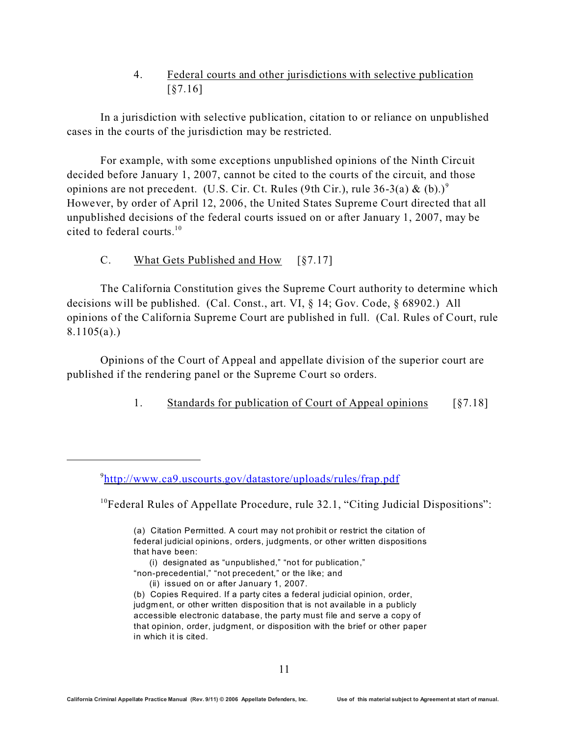## 4. Federal courts and other jurisdictions with selective publication [§7.16]

In a jurisdiction with selective publication, citation to or reliance on unpublished cases in the courts of the jurisdiction may be restricted.

For example, with some exceptions unpublished opinions of the Ninth Circuit decided before January 1, 2007, cannot be cited to the courts of the circuit, and those opinions are not precedent. (U.S. Cir. Ct. Rules (9th Cir.), rule  $36-3(a) \& (b).$ <sup>9</sup> However, by order of April 12, 2006, the United States Supreme Court directed that all unpublished decisions of the federal courts issued on or after January 1, 2007, may be cited to federal courts.<sup>10</sup>

## C. What Gets Published and How [§7.17]

The California Constitution gives the Supreme Court authority to determine which decisions will be published. (Cal. Const., art. VI, § 14; Gov. Code, § 68902.) All opinions of the California Supreme Court are published in full. (Cal. Rules of Court, rule 8.1105(a).)

Opinions of the Court of Appeal and appellate division of the superior court are published if the rendering panel or the Supreme Court so orders.

### 1. Standards for publication of Court of Appeal opinions [§7.18]

 $10$ <sup>10</sup>Federal Rules of Appellate Procedure, rule 32.1, "Citing Judicial Dispositions":

- (i) designated as "unpublished," "not for publication,"
- "non-precedential," "not precedent," or the like; and

<sup>9</sup> <http://www.ca9.uscourts.gov/datastore/uploads/rules/frap.pdf>

<sup>(</sup>a) Citation Permitted. A court may not prohibit or restrict the citation of federal judicial opinions, orders, judgments, or other written dispositions that have been:

 <sup>(</sup>ii) issued on or after January 1, 2007.

<sup>(</sup>b) Copies Required. If a party cites a federal judicial opinion, order, judgm ent, or other written disposition that is not available in a publicly accessible electronic database, the party must file and serve a copy of that opinion, order, judgment, or disposition with the brief or other paper in which it is cited.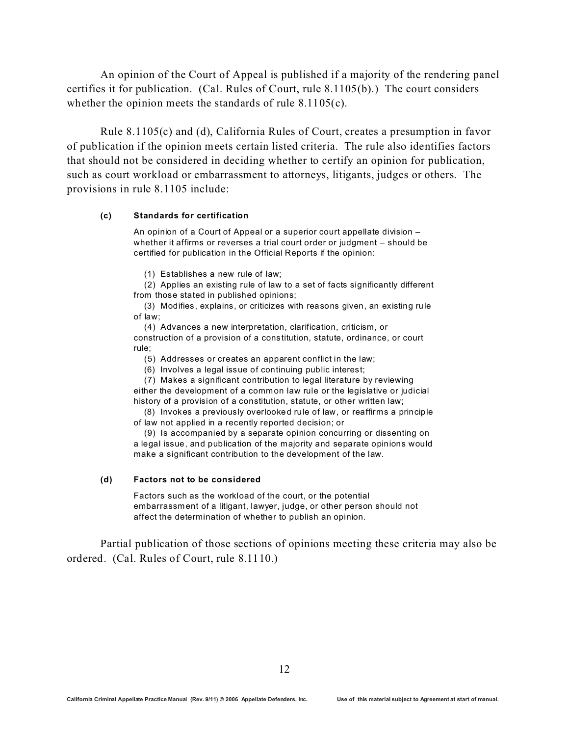An opinion of the Court of Appeal is published if a majority of the rendering panel certifies it for publication. (Cal. Rules of Court, rule 8.1105(b).) The court considers whether the opinion meets the standards of rule 8.1105(c).

Rule 8.1105(c) and (d), California Rules of Court, creates a presumption in favor of publication if the opinion meets certain listed criteria. The rule also identifies factors that should not be considered in deciding whether to certify an opinion for publication, such as court workload or embarrassment to attorneys, litigants, judges or others. The provisions in rule 8.1105 include:

#### **(c) Standards for certification**

An opinion of a Court of Appeal or a superior court appellate division – whether it affirms or reverses a trial court order or judgment – should be certified for publication in the Official Reports if the opinion:

(1) Establishes a new rule of law;

 (2) Applies an existing rule of law to a set of facts significantly different from those stated in published opinions;

 (3) Modifies, explains, or criticizes with reasons given, an existing rule of law;

 (4) Advances a new interpretation, clarification, criticism, or construction of a provision of a constitution, statute, ordinance, or court rule;

(5) Addresses or creates an apparent conflict in the law;

(6) Involves a legal issue of continuing public interest;

(7) Makes a significant contribution to legal literature by reviewing

either the development of a common law rule or the legislative or judicial history of a provision of a constitution, statute, or other written law;

 (8) Invokes a previously overlooked rule of law, or reaffirms a principle of law not applied in a recently reported decision; or

 (9) Is accompanied by a separate opinion concurring or dissenting on a legal issue, and publication of the majority and separate opinions would make a significant contribution to the development of the law.

#### **(d) Factors not to be considered**

Factors such as the workload of the court, or the potential embarrassment of a litigant, lawyer, judge, or other person should not affect the determination of whether to publish an opinion.

Partial publication of those sections of opinions meeting these criteria may also be ordered. (Cal. Rules of Court, rule 8.1110.)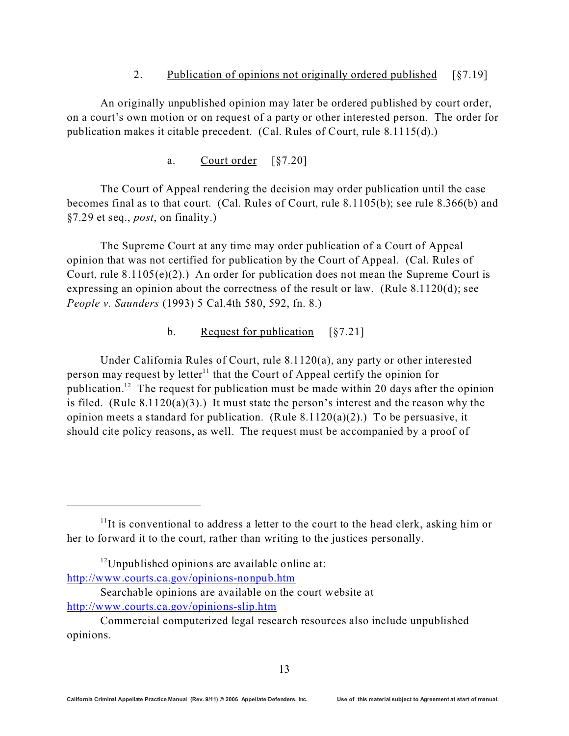### 2. Publication of opinions not originally ordered published [§7.19]

An originally unpublished opinion may later be ordered published by court order, on a court's own motion or on request of a party or other interested person. The order for publication makes it citable precedent. (Cal. Rules of Court, rule 8.1115(d).)

a. Court order [§7.20]

The Court of Appeal rendering the decision may order publication until the case becomes final as to that court. (Cal. Rules of Court, rule 8.1105(b); see rule 8.366(b) and §7.29 et seq., *post*, on finality.)

The Supreme Court at any time may order publication of a Court of Appeal opinion that was not certified for publication by the Court of Appeal. (Cal. Rules of Court, rule 8.1105(e)(2).) An order for publication does not mean the Supreme Court is expressing an opinion about the correctness of the result or law. (Rule  $8.1120(d)$ ; see *People v. Saunders* (1993) 5 Cal.4th 580, 592, fn. 8.)

### b. Request for publication [§7.21]

Under California Rules of Court, rule 8.1120(a), any party or other interested person may request by letter<sup>11</sup> that the Court of Appeal certify the opinion for publication.<sup>12</sup> The request for publication must be made within 20 days after the opinion is filed. (Rule 8.1120(a)(3).) It must state the person's interest and the reason why the opinion meets a standard for publication. (Rule  $8.1120(a)(2)$ .) To be persuasive, it should cite policy reasons, as well. The request must be accompanied by a proof of

 $11$ It is conventional to address a letter to the court to the head clerk, asking him or her to forward it to the court, rather than writing to the justices personally.

 $12$ Unpublished opinions are available online at: <http://www.courts.ca.gov/opinions-nonpub.htm>

Searchable opinions are available on the court website at <http://www.courts.ca.gov/opinions-slip.htm>

Commercial computerized legal research resources also include unpublished opinions.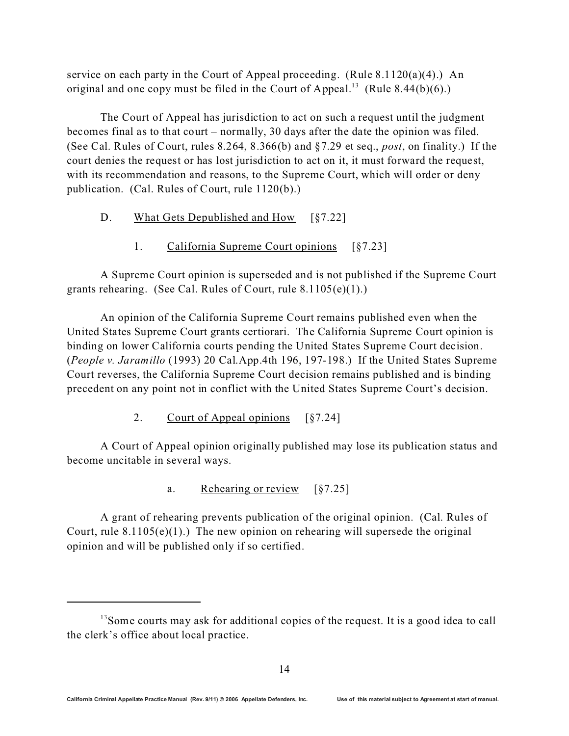service on each party in the Court of Appeal proceeding. (Rule 8.1120(a)(4).) An original and one copy must be filed in the Court of Appeal.<sup>13</sup> (Rule 8.44(b)(6).)

The Court of Appeal has jurisdiction to act on such a request until the judgment becomes final as to that court – normally, 30 days after the date the opinion was filed. (See Cal. Rules of Court, rules 8.264, 8.366(b) and §7.29 et seq., *post*, on finality.) If the court denies the request or has lost jurisdiction to act on it, it must forward the request, with its recommendation and reasons, to the Supreme Court, which will order or deny publication. (Cal. Rules of Court, rule 1120(b).)

- D. What Gets Depublished and How [§7.22]
	- 1. California Supreme Court opinions [§7.23]

A Supreme Court opinion is superseded and is not published if the Supreme Court grants rehearing. (See Cal. Rules of Court, rule 8.1105(e)(1).)

An opinion of the California Supreme Court remains published even when the United States Supreme Court grants certiorari. The California Supreme Court opinion is binding on lower California courts pending the United States Supreme Court decision. (*People v. Jaramillo* (1993) 20 Cal.App.4th 196, 197-198.) If the United States Supreme Court reverses, the California Supreme Court decision remains published and is binding precedent on any point not in conflict with the United States Supreme Court's decision.

2. Court of Appeal opinions [§7.24]

A Court of Appeal opinion originally published may lose its publication status and become uncitable in several ways.

a. Rehearing or review [§7.25]

A grant of rehearing prevents publication of the original opinion. (Cal. Rules of Court, rule  $8.1105(e)(1)$ .) The new opinion on rehearing will supersede the original opinion and will be published only if so certified.

<sup>&</sup>lt;sup>13</sup>Some courts may ask for additional copies of the request. It is a good idea to call the clerk's office about local practice.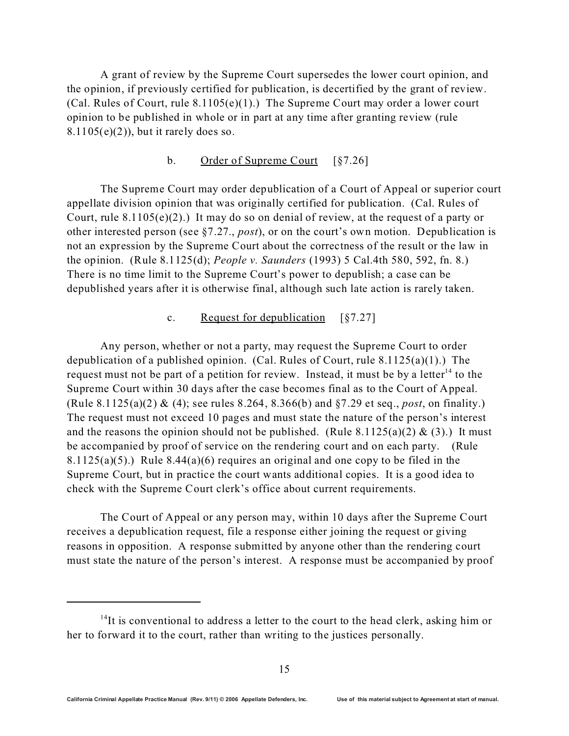A grant of review by the Supreme Court supersedes the lower court opinion, and the opinion, if previously certified for publication, is decertified by the grant of review. (Cal. Rules of Court, rule 8.1105(e)(1).) The Supreme Court may order a lower court opinion to be published in whole or in part at any time after granting review (rule  $8.1105(e)(2)$ , but it rarely does so.

#### b. Order of Supreme Court [§7.26]

The Supreme Court may order depublication of a Court of Appeal or superior court appellate division opinion that was originally certified for publication. (Cal. Rules of Court, rule  $8.1105(e)(2)$ .) It may do so on denial of review, at the request of a party or other interested person (see §7.27., *post*), or on the court's own motion. Depublication is not an expression by the Supreme Court about the correctness of the result or the law in the opinion. (Rule 8.1125(d); *People v. Saunders* (1993) 5 Cal.4th 580, 592, fn. 8.) There is no time limit to the Supreme Court's power to depublish; a case can be depublished years after it is otherwise final, although such late action is rarely taken.

#### c. Request for depublication [§7.27]

Any person, whether or not a party, may request the Supreme Court to order depublication of a published opinion. (Cal. Rules of Court, rule 8.1125(a)(1).) The request must not be part of a petition for review. Instead, it must be by a letter  $14$  to the Supreme Court within 30 days after the case becomes final as to the Court of Appeal. (Rule 8.1125(a)(2) & (4); see rules 8.264, 8.366(b) and §7.29 et seq., *post*, on finality.) The request must not exceed 10 pages and must state the nature of the person's interest and the reasons the opinion should not be published. (Rule 8.1125(a)(2) & (3).) It must be accompanied by proof of service on the rendering court and on each party. (Rule 8.1125(a)(5).) Rule 8.44(a)(6) requires an original and one copy to be filed in the Supreme Court, but in practice the court wants additional copies. It is a good idea to check with the Supreme Court clerk's office about current requirements.

The Court of Appeal or any person may, within 10 days after the Supreme Court receives a depublication request, file a response either joining the request or giving reasons in opposition. A response submitted by anyone other than the rendering court must state the nature of the person's interest. A response must be accompanied by proof

 $14$ It is conventional to address a letter to the court to the head clerk, asking him or her to forward it to the court, rather than writing to the justices personally.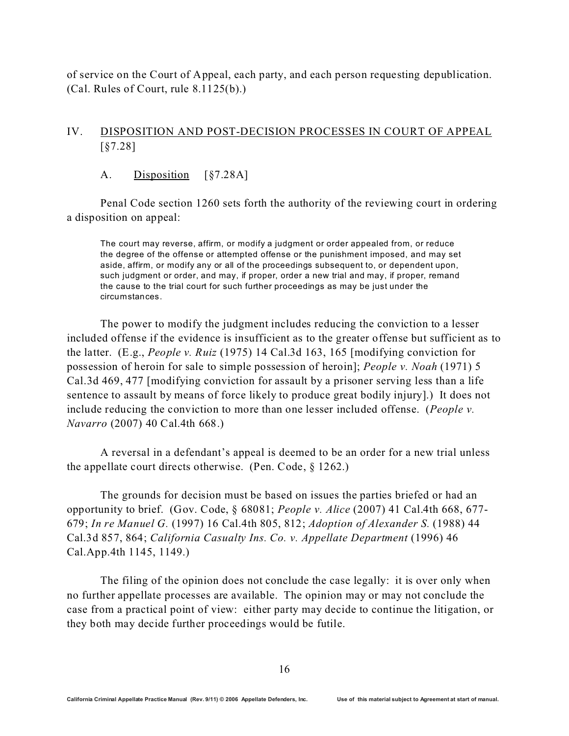of service on the Court of Appeal, each party, and each person requesting depublication. (Cal. Rules of Court, rule 8.1125(b).)

### IV. DISPOSITION AND POST-DECISION PROCESSES IN COURT OF APPEAL [§7.28]

A. Disposition [§7.28A]

Penal Code section 1260 sets forth the authority of the reviewing court in ordering a disposition on appeal:

The court may reverse, affirm, or modify a judgment or order appealed from, or reduce the degree of the offense or attempted offense or the punishment imposed, and may set aside, affirm, or modify any or all of the proceedings subsequent to, or dependent upon, such judgment or order, and may, if proper, order a new trial and may, if proper, remand the cause to the trial court for such further proceedings as may be just under the circumstances.

The power to modify the judgment includes reducing the conviction to a lesser included offense if the evidence is insufficient as to the greater offense but sufficient as to the latter. (E.g., *People v. Ruiz* (1975) 14 Cal.3d 163, 165 [modifying conviction for possession of heroin for sale to simple possession of heroin]; *People v. Noah* (1971) 5 Cal.3d 469, 477 [modifying conviction for assault by a prisoner serving less than a life sentence to assault by means of force likely to produce great bodily injury].) It does not include reducing the conviction to more than one lesser included offense. (*People v. Navarro* (2007) 40 Cal.4th 668.)

A reversal in a defendant's appeal is deemed to be an order for a new trial unless the appellate court directs otherwise. (Pen. Code, § 1262.)

The grounds for decision must be based on issues the parties briefed or had an opportunity to brief. (Gov. Code, § 68081; *People v. Alice* (2007) 41 Cal.4th 668, 677- 679; *In re Manuel G.* (1997) 16 Cal.4th 805, 812; *Adoption of Alexander S.* (1988) 44 Cal.3d 857, 864; *California Casualty Ins. Co. v. Appellate Department* (1996) 46 Cal.App.4th 1145, 1149.)

The filing of the opinion does not conclude the case legally: it is over only when no further appellate processes are available. The opinion may or may not conclude the case from a practical point of view: either party may decide to continue the litigation, or they both may decide further proceedings would be futile.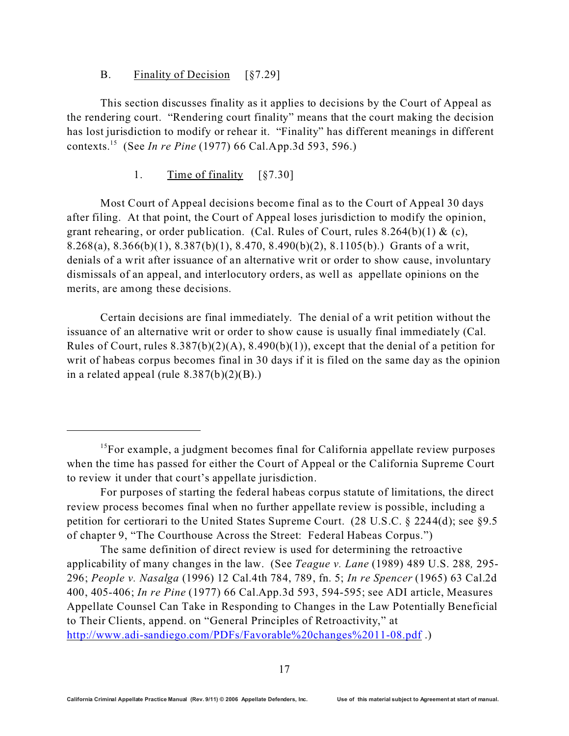#### B. Finality of Decision [§7.29]

This section discusses finality as it applies to decisions by the Court of Appeal as the rendering court. "Rendering court finality" means that the court making the decision has lost jurisdiction to modify or rehear it. "Finality" has different meanings in different contexts.<sup>15</sup> (See *In re Pine* (1977) 66 Cal.App.3d 593, 596.)

#### 1. Time of finality [§7.30]

Most Court of Appeal decisions become final as to the Court of Appeal 30 days after filing. At that point, the Court of Appeal loses jurisdiction to modify the opinion, grant rehearing, or order publication. (Cal. Rules of Court, rules  $8.264(b)(1)$  & (c), 8.268(a), 8.366(b)(1), 8.387(b)(1), 8.470, 8.490(b)(2), 8.1105(b).) Grants of a writ, denials of a writ after issuance of an alternative writ or order to show cause, involuntary dismissals of an appeal, and interlocutory orders, as well as appellate opinions on the merits, are among these decisions.

Certain decisions are final immediately. The denial of a writ petition without the issuance of an alternative writ or order to show cause is usually final immediately (Cal. Rules of Court, rules  $8.387(b)(2)(A)$ ,  $8.490(b)(1)$ , except that the denial of a petition for writ of habeas corpus becomes final in 30 days if it is filed on the same day as the opinion in a related appeal (rule  $8.387(b)(2)(B)$ .)

The same definition of direct review is used for determining the retroactive applicability of many changes in the law. (See *Teague v. Lane* (1989) 489 U.S. 288*,* 295- 296; *People v. Nasalga* (1996) 12 Cal.4th 784, 789, fn. 5; *In re Spencer* (1965) 63 Cal.2d 400, 405-406; *In re Pine* (1977) 66 Cal.App.3d 593, 594-595; see ADI article, Measures Appellate Counsel Can Take in Responding to Changes in the Law Potentially Beneficial to Their Clients, append. on "General Principles of Retroactivity," at <http://www.adi-sandiego.com/PDFs/Favorable%20changes%2011-08.pdf> .)

<sup>&</sup>lt;sup>15</sup>For example, a judgment becomes final for California appellate review purposes when the time has passed for either the Court of Appeal or the California Supreme Court to review it under that court's appellate jurisdiction.

For purposes of starting the federal habeas corpus statute of limitations, the direct review process becomes final when no further appellate review is possible, including a petition for certiorari to the United States Supreme Court. (28 U.S.C. § 2244(d); see §9.5 of chapter 9, "The Courthouse Across the Street: Federal Habeas Corpus.")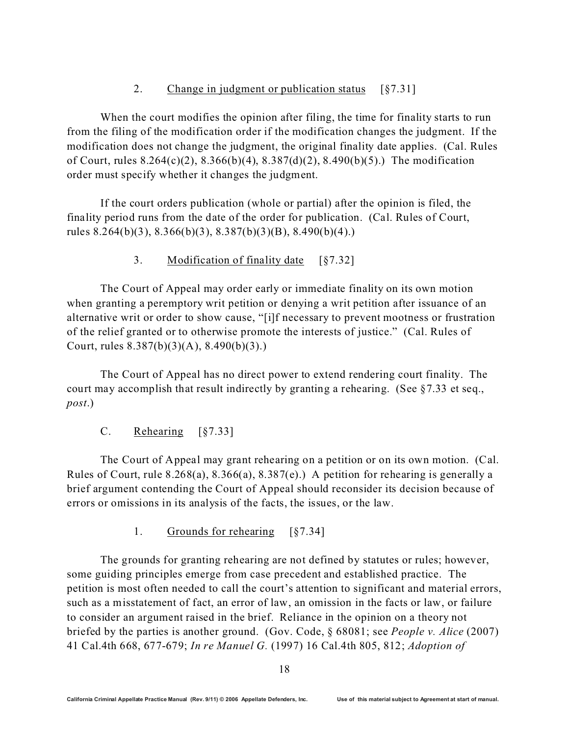### 2. Change in judgment or publication status [§7.31]

When the court modifies the opinion after filing, the time for finality starts to run from the filing of the modification order if the modification changes the judgment. If the modification does not change the judgment, the original finality date applies. (Cal. Rules of Court, rules 8.264(c)(2), 8.366(b)(4), 8.387(d)(2), 8.490(b)(5).) The modification order must specify whether it changes the judgment.

If the court orders publication (whole or partial) after the opinion is filed, the finality period runs from the date of the order for publication. (Cal. Rules of Court, rules 8.264(b)(3), 8.366(b)(3), 8.387(b)(3)(B), 8.490(b)(4).)

3. Modification of finality date [§7.32]

The Court of Appeal may order early or immediate finality on its own motion when granting a peremptory writ petition or denying a writ petition after issuance of an alternative writ or order to show cause, "[i]f necessary to prevent mootness or frustration of the relief granted or to otherwise promote the interests of justice." (Cal. Rules of Court, rules 8.387(b)(3)(A), 8.490(b)(3).)

The Court of Appeal has no direct power to extend rendering court finality. The court may accomplish that result indirectly by granting a rehearing. (See §7.33 et seq., *post*.)

C. Rehearing [§7.33]

The Court of Appeal may grant rehearing on a petition or on its own motion. (Cal. Rules of Court, rule 8.268(a), 8.366(a), 8.387(e).) A petition for rehearing is generally a brief argument contending the Court of Appeal should reconsider its decision because of errors or omissions in its analysis of the facts, the issues, or the law.

1. Grounds for rehearing [§7.34]

The grounds for granting rehearing are not defined by statutes or rules; however, some guiding principles emerge from case precedent and established practice. The petition is most often needed to call the court's attention to significant and material errors, such as a misstatement of fact, an error of law, an omission in the facts or law, or failure to consider an argument raised in the brief. Reliance in the opinion on a theory not briefed by the parties is another ground. (Gov. Code, § 68081; see *People v. Alice* (2007) 41 Cal.4th 668, 677-679; *In re Manuel G.* (1997) 16 Cal.4th 805, 812; *Adoption of*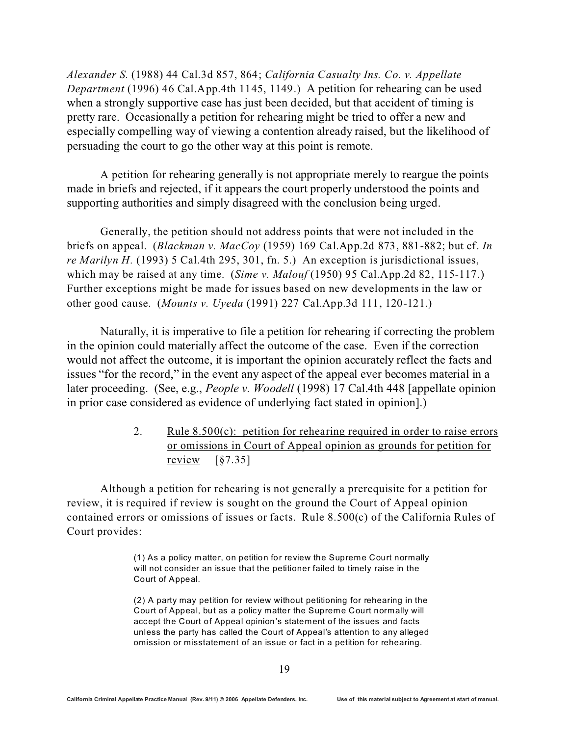*Alexander S.* (1988) 44 Cal.3d 857, 864; *California Casualty Ins. Co. v. Appellate Department* (1996) 46 Cal.App.4th 1145, 1149.) A petition for rehearing can be used when a strongly supportive case has just been decided, but that accident of timing is pretty rare. Occasionally a petition for rehearing might be tried to offer a new and especially compelling way of viewing a contention already raised, but the likelihood of persuading the court to go the other way at this point is remote.

A petition for rehearing generally is not appropriate merely to reargue the points made in briefs and rejected, if it appears the court properly understood the points and supporting authorities and simply disagreed with the conclusion being urged.

Generally, the petition should not address points that were not included in the briefs on appeal. (*Blackman v. MacCoy* (1959) 169 Cal.App.2d 873, 881-882; but cf. *In re Marilyn H.* (1993) 5 Cal.4th 295, 301, fn. 5.) An exception is jurisdictional issues, which may be raised at any time. (*Sime v. Malouf* (1950) 95 Cal.App.2d 82, 115-117.) Further exceptions might be made for issues based on new developments in the law or other good cause. (*Mounts v. Uyeda* (1991) 227 Cal.App.3d 111, 120-121.)

Naturally, it is imperative to file a petition for rehearing if correcting the problem in the opinion could materially affect the outcome of the case. Even if the correction would not affect the outcome, it is important the opinion accurately reflect the facts and issues "for the record," in the event any aspect of the appeal ever becomes material in a later proceeding. (See, e.g., *People v. Woodell* (1998) 17 Cal.4th 448 [appellate opinion in prior case considered as evidence of underlying fact stated in opinion].)

> 2. Rule  $8.500(c)$ : petition for rehearing required in order to raise errors or omissions in Court of Appeal opinion as grounds for petition for review  $\lceil \frac{6}{57.35} \rceil$

Although a petition for rehearing is not generally a prerequisite for a petition for review, it is required if review is sought on the ground the Court of Appeal opinion contained errors or omissions of issues or facts. Rule 8.500(c) of the California Rules of Court provides:

> (1) As a policy m atter, on petition for review the Supreme Court normally will not consider an issue that the petitioner failed to timely raise in the Court of Appeal.

> (2) A party may petition for review without petitioning for rehearing in the Court of Appeal, but as a policy matter the Supreme Court normally will accept the Court of Appeal opinion's statement of the issues and facts unless the party has called the Court of Appeal's attention to any alleged omission or misstatement of an issue or fact in a petition for rehearing.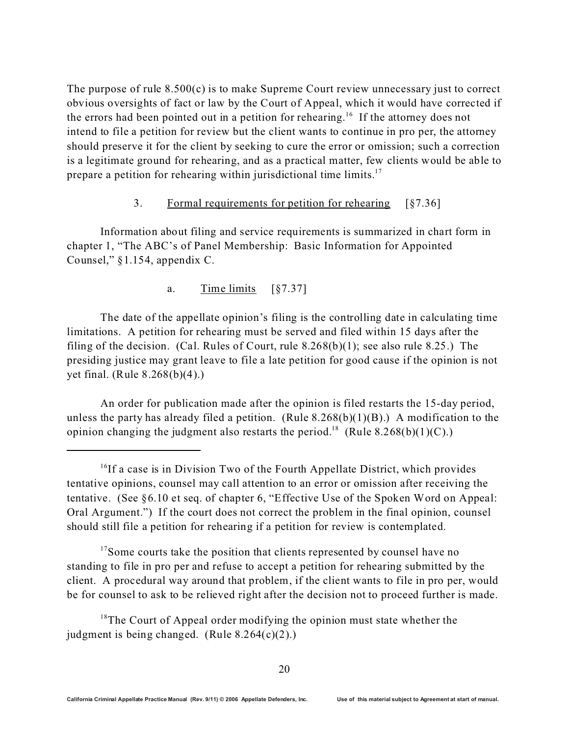The purpose of rule  $8.500(c)$  is to make Supreme Court review unnecessary just to correct obvious oversights of fact or law by the Court of Appeal, which it would have corrected if the errors had been pointed out in a petition for rehearing.<sup>16</sup> If the attorney does not intend to file a petition for review but the client wants to continue in pro per, the attorney should preserve it for the client by seeking to cure the error or omission; such a correction is a legitimate ground for rehearing, and as a practical matter, few clients would be able to prepare a petition for rehearing within jurisdictional time limits.<sup>17</sup>

#### 3. Formal requirements for petition for rehearing [§7.36]

Information about filing and service requirements is summarized in chart form in chapter 1, "The ABC's of Panel Membership: Basic Information for Appointed Counsel," §1.154, appendix C.

### a. Time limits [§7.37]

The date of the appellate opinion's filing is the controlling date in calculating time limitations. A petition for rehearing must be served and filed within 15 days after the filing of the decision. (Cal. Rules of Court, rule  $8.268(b)(1)$ ; see also rule  $8.25$ .) The presiding justice may grant leave to file a late petition for good cause if the opinion is not yet final. (Rule 8.268(b)(4).)

An order for publication made after the opinion is filed restarts the 15-day period, unless the party has already filed a petition. (Rule  $8.268(b)(1)(B)$ .) A modification to the opinion changing the judgment also restarts the period.<sup>18</sup> (Rule 8.268(b)(1)(C).)

<sup>17</sup>Some courts take the position that clients represented by counsel have no standing to file in pro per and refuse to accept a petition for rehearing submitted by the client. A procedural way around that problem, if the client wants to file in pro per, would be for counsel to ask to be relieved right after the decision not to proceed further is made.

 $18$ The Court of Appeal order modifying the opinion must state whether the judgment is being changed. (Rule 8.264(c)(2).)

<sup>&</sup>lt;sup>16</sup>If a case is in Division Two of the Fourth Appellate District, which provides tentative opinions, counsel may call attention to an error or omission after receiving the tentative. (See §6.10 et seq. of chapter 6, "Effective Use of the Spoken Word on Appeal: Oral Argument.") If the court does not correct the problem in the final opinion, counsel should still file a petition for rehearing if a petition for review is contemplated.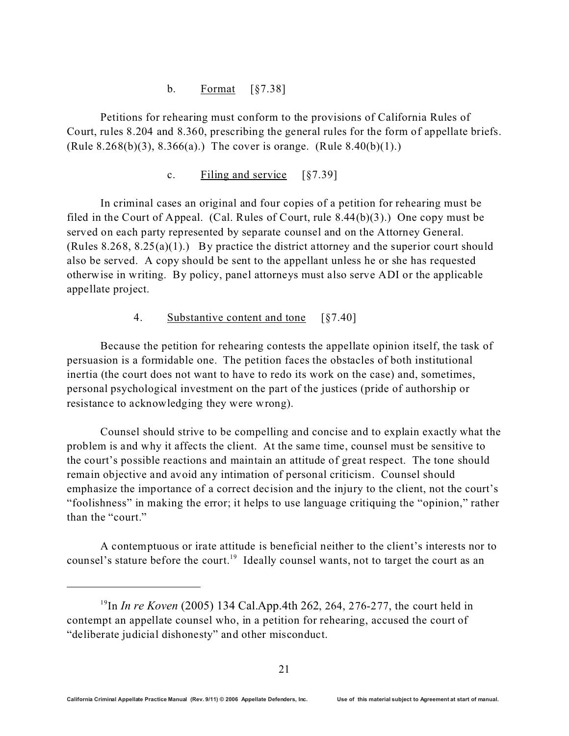### b. Format [§7.38]

Petitions for rehearing must conform to the provisions of California Rules of Court, rules 8.204 and 8.360, prescribing the general rules for the form of appellate briefs. (Rule 8.268(b)(3), 8.366(a).) The cover is orange. (Rule 8.40(b)(1).)

c. Filing and service [§7.39]

In criminal cases an original and four copies of a petition for rehearing must be filed in the Court of Appeal. (Cal. Rules of Court, rule 8.44(b)(3).) One copy must be served on each party represented by separate counsel and on the Attorney General. (Rules  $8.268$ ,  $8.25(a)(1)$ .) By practice the district attorney and the superior court should also be served. A copy should be sent to the appellant unless he or she has requested otherwise in writing. By policy, panel attorneys must also serve ADI or the applicable appellate project.

4. Substantive content and tone [§7.40]

Because the petition for rehearing contests the appellate opinion itself, the task of persuasion is a formidable one. The petition faces the obstacles of both institutional inertia (the court does not want to have to redo its work on the case) and, sometimes, personal psychological investment on the part of the justices (pride of authorship or resistance to acknowledging they were wrong).

Counsel should strive to be compelling and concise and to explain exactly what the problem is and why it affects the client. At the same time, counsel must be sensitive to the court's possible reactions and maintain an attitude of great respect. The tone should remain objective and avoid any intimation of personal criticism. Counsel should emphasize the importance of a correct decision and the injury to the client, not the court's "foolishness" in making the error; it helps to use language critiquing the "opinion," rather than the "court."

 A contemptuous or irate attitude is beneficial neither to the client's interests nor to counsel's stature before the court.<sup>19</sup> Ideally counsel wants, not to target the court as an

<sup>19</sup>In *In re Koven* (2005) 134 Cal.App.4th 262, 264, 276-277, the court held in contempt an appellate counsel who, in a petition for rehearing, accused the court of "deliberate judicial dishonesty" and other misconduct.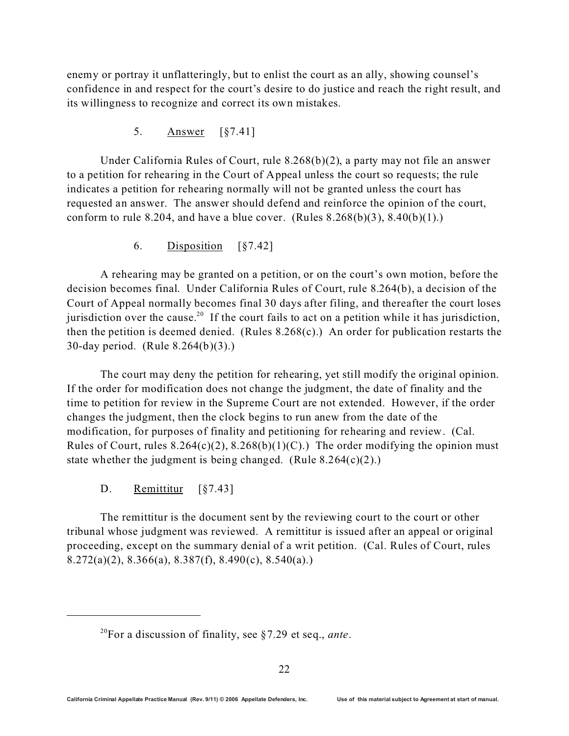enemy or portray it unflatteringly, but to enlist the court as an ally, showing counsel's confidence in and respect for the court's desire to do justice and reach the right result, and its willingness to recognize and correct its own mistakes.

5. Answer [§7.41]

Under California Rules of Court, rule 8.268(b)(2), a party may not file an answer to a petition for rehearing in the Court of Appeal unless the court so requests; the rule indicates a petition for rehearing normally will not be granted unless the court has requested an answer. The answer should defend and reinforce the opinion of the court, conform to rule 8.204, and have a blue cover. (Rules  $8.268(b)(3)$ ,  $8.40(b)(1)$ .)

6. Disposition [§7.42]

A rehearing may be granted on a petition, or on the court's own motion, before the decision becomes final. Under California Rules of Court, rule 8.264(b), a decision of the Court of Appeal normally becomes final 30 days after filing, and thereafter the court loses jurisdiction over the cause.<sup>20</sup> If the court fails to act on a petition while it has jurisdiction, then the petition is deemed denied. (Rules 8.268(c).) An order for publication restarts the 30-day period. (Rule 8.264(b)(3).)

The court may deny the petition for rehearing, yet still modify the original opinion. If the order for modification does not change the judgment, the date of finality and the time to petition for review in the Supreme Court are not extended. However, if the order changes the judgment, then the clock begins to run anew from the date of the modification, for purposes of finality and petitioning for rehearing and review. (Cal. Rules of Court, rules  $8.264(c)(2)$ ,  $8.268(b)(1)(C)$ .) The order modifying the opinion must state whether the judgment is being changed. (Rule  $8.264(c)(2)$ .)

D. Remittitur [§7.43]

The remittitur is the document sent by the reviewing court to the court or other tribunal whose judgment was reviewed. A remittitur is issued after an appeal or original proceeding, except on the summary denial of a writ petition. (Cal. Rules of Court, rules 8.272(a)(2), 8.366(a), 8.387(f), 8.490(c), 8.540(a).)

<sup>20</sup>For a discussion of finality, see §7.29 et seq., *ante*.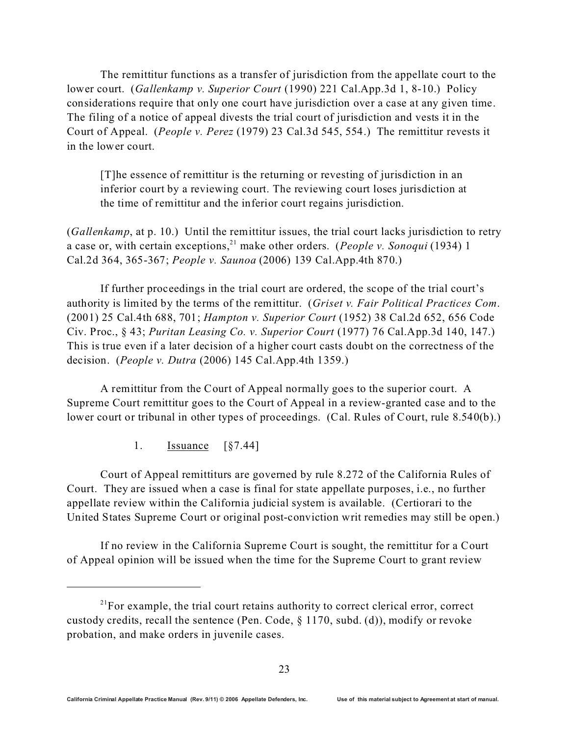The remittitur functions as a transfer of jurisdiction from the appellate court to the lower court. (*Gallenkamp v. Superior Court* (1990) 221 Cal.App.3d 1, 8-10.) Policy considerations require that only one court have jurisdiction over a case at any given time. The filing of a notice of appeal divests the trial court of jurisdiction and vests it in the Court of Appeal. (*People v. Perez* (1979) 23 Cal.3d 545, 554.) The remittitur revests it in the lower court.

[T]he essence of remittitur is the returning or revesting of jurisdiction in an inferior court by a reviewing court. The reviewing court loses jurisdiction at the time of remittitur and the inferior court regains jurisdiction.

(*Gallenkamp*, at p. 10.) Until the remittitur issues, the trial court lacks jurisdiction to retry a case or, with certain exceptions,<sup>21</sup> make other orders. (*People v. Sonoqui* (1934) 1 Cal.2d 364, 365-367; *People v. Saunoa* (2006) 139 Cal.App.4th 870.)

If further proceedings in the trial court are ordered, the scope of the trial court's authority is limited by the terms of the remittitur. (*Griset v. Fair Political Practices Com*. (2001) 25 Cal.4th 688, 701; *Hampton v. Superior Court* (1952) 38 Cal.2d 652, 656 Code Civ. Proc., § 43; *Puritan Leasing Co. v. Superior Court* (1977) 76 Cal.App.3d 140, 147.) This is true even if a later decision of a higher court casts doubt on the correctness of the decision. (*People v. Dutra* (2006) 145 Cal.App.4th 1359.)

A remittitur from the Court of Appeal normally goes to the superior court. A Supreme Court remittitur goes to the Court of Appeal in a review-granted case and to the lower court or tribunal in other types of proceedings. (Cal. Rules of Court, rule 8.540(b).)

1. Issuance [§7.44]

Court of Appeal remittiturs are governed by rule 8.272 of the California Rules of Court. They are issued when a case is final for state appellate purposes, i.e., no further appellate review within the California judicial system is available. (Certiorari to the United States Supreme Court or original post-conviction writ remedies may still be open.)

If no review in the California Supreme Court is sought, the remittitur for a Court of Appeal opinion will be issued when the time for the Supreme Court to grant review

 $21$  For example, the trial court retains authority to correct clerical error, correct custody credits, recall the sentence (Pen. Code, § 1170, subd. (d)), modify or revoke probation, and make orders in juvenile cases.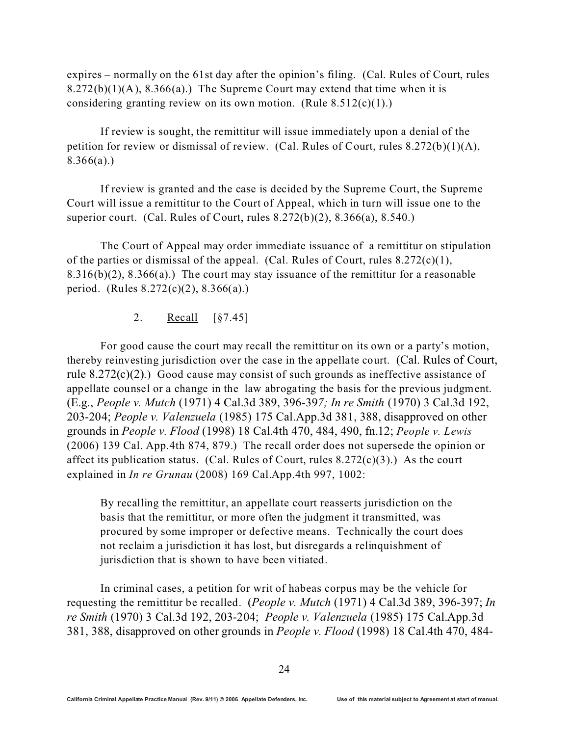expires – normally on the 61st day after the opinion's filing. (Cal. Rules of Court, rules  $8.272(b)(1)(A)$ ,  $8.366(a)$ .) The Supreme Court may extend that time when it is considering granting review on its own motion. (Rule  $8.512(c)(1)$ .)

If review is sought, the remittitur will issue immediately upon a denial of the petition for review or dismissal of review. (Cal. Rules of Court, rules 8.272(b)(1)(A),  $8.366(a)$ .)

If review is granted and the case is decided by the Supreme Court, the Supreme Court will issue a remittitur to the Court of Appeal, which in turn will issue one to the superior court. (Cal. Rules of Court, rules 8.272(b)(2), 8.366(a), 8.540.)

The Court of Appeal may order immediate issuance of a remittitur on stipulation of the parties or dismissal of the appeal. (Cal. Rules of Court, rules  $8.272(c)(1)$ ,  $8.316(b)(2)$ ,  $8.366(a)$ .) The court may stay issuance of the remittitur for a reasonable period. (Rules 8.272(c)(2), 8.366(a).)

2. Recall [§7.45]

For good cause the court may recall the remittitur on its own or a party's motion, thereby reinvesting jurisdiction over the case in the appellate court. (Cal. Rules of Court, rule 8.272(c)(2).) Good cause may consist of such grounds as ineffective assistance of appellate counsel or a change in the law abrogating the basis for the previous judgment. (E.g., *People v. Mutch* (1971) 4 Cal.3d 389, 396-39*7; In re Smith* (1970) 3 Cal.3d 192, 203-204; *People v. Valenzuela* (1985) 175 Cal.App.3d 381, 388, disapproved on other grounds in *People v. Flood* (1998) 18 Cal.4th 470, 484, 490, fn.12; *People v. Lewis* (2006) 139 Cal. App.4th 874, 879.) The recall order does not supersede the opinion or affect its publication status. (Cal. Rules of Court, rules  $8.272(c)(3)$ .) As the court explained in *In re Grunau* (2008) 169 Cal.App.4th 997, 1002:

By recalling the remittitur, an appellate court reasserts jurisdiction on the basis that the remittitur, or more often the judgment it transmitted, was procured by some improper or defective means. Technically the court does not reclaim a jurisdiction it has lost, but disregards a relinquishment of jurisdiction that is shown to have been vitiated.

In criminal cases, a petition for writ of habeas corpus may be the vehicle for requesting the remittitur be recalled. (*People v. Mutch* (1971) 4 Cal.3d 389, 396-397; *In re Smith* (1970) 3 Cal.3d 192, 203-204; *People v. Valenzuela* (1985) 175 Cal.App.3d 381, 388, disapproved on other grounds in *People v. Flood* (1998) 18 Cal.4th 470, 484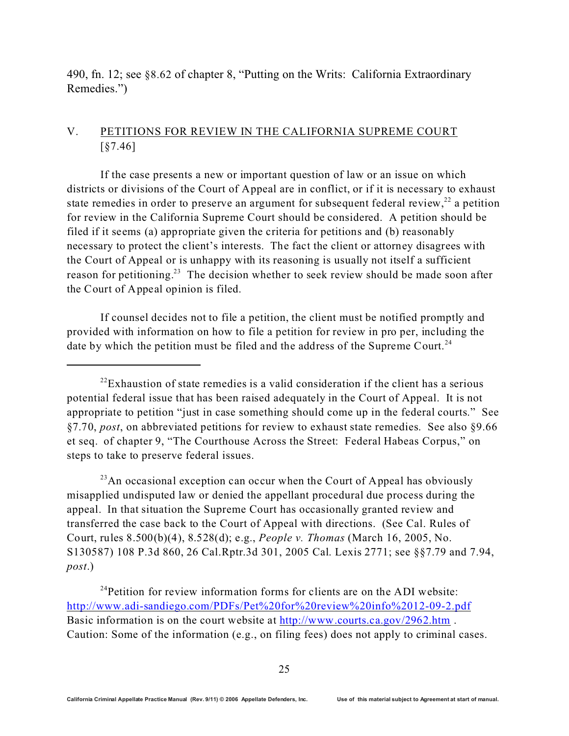490, fn. 12; see §8.62 of chapter 8, "Putting on the Writs: California Extraordinary Remedies.")

### V. PETITIONS FOR REVIEW IN THE CALIFORNIA SUPREME COURT [§7.46]

If the case presents a new or important question of law or an issue on which districts or divisions of the Court of Appeal are in conflict, or if it is necessary to exhaust state remedies in order to preserve an argument for subsequent federal review,  $22$  a petition for review in the California Supreme Court should be considered. A petition should be filed if it seems (a) appropriate given the criteria for petitions and (b) reasonably necessary to protect the client's interests. The fact the client or attorney disagrees with the Court of Appeal or is unhappy with its reasoning is usually not itself a sufficient reason for petitioning.<sup>23</sup> The decision whether to seek review should be made soon after the Court of Appeal opinion is filed.

If counsel decides not to file a petition, the client must be notified promptly and provided with information on how to file a petition for review in pro per, including the date by which the petition must be filed and the address of the Supreme Court.<sup>24</sup>

 $^{23}$ An occasional exception can occur when the Court of Appeal has obviously misapplied undisputed law or denied the appellant procedural due process during the appeal. In that situation the Supreme Court has occasionally granted review and transferred the case back to the Court of Appeal with directions. (See Cal. Rules of Court, rules 8.500(b)(4), 8.528(d); e.g., *People v. Thomas* (March 16, 2005, No. S130587) 108 P.3d 860, 26 Cal.Rptr.3d 301, 2005 Cal. Lexis 2771; see §§7.79 and 7.94, *post*.)

 $24$ Petition for review information forms for clients are on the ADI website: <http://www.adi-sandiego.com/PDFs/Pet%20for%20review%20info%2012-09-2.pdf> Basic information is on the court website at<http://www.courts.ca.gov/2962.htm>. Caution: Some of the information (e.g., on filing fees) does not apply to criminal cases.

 $^{22}$ Exhaustion of state remedies is a valid consideration if the client has a serious potential federal issue that has been raised adequately in the Court of Appeal. It is not appropriate to petition "just in case something should come up in the federal courts." See §7.70, *post*, on abbreviated petitions for review to exhaust state remedies. See also §9.66 et seq. of chapter 9, "The Courthouse Across the Street: Federal Habeas Corpus," on steps to take to preserve federal issues.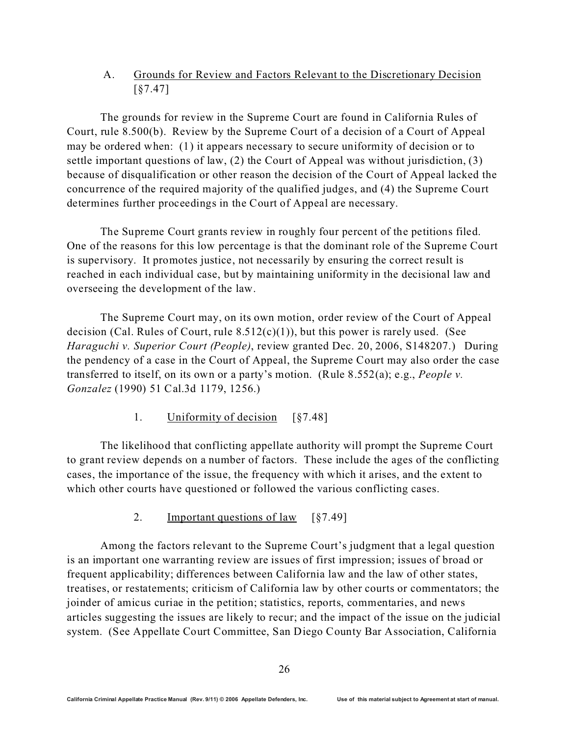## A. Grounds for Review and Factors Relevant to the Discretionary Decision [§7.47]

The grounds for review in the Supreme Court are found in California Rules of Court, rule 8.500(b). Review by the Supreme Court of a decision of a Court of Appeal may be ordered when: (1) it appears necessary to secure uniformity of decision or to settle important questions of law, (2) the Court of Appeal was without jurisdiction, (3) because of disqualification or other reason the decision of the Court of Appeal lacked the concurrence of the required majority of the qualified judges, and (4) the Supreme Court determines further proceedings in the Court of Appeal are necessary.

The Supreme Court grants review in roughly four percent of the petitions filed. One of the reasons for this low percentage is that the dominant role of the Supreme Court is supervisory. It promotes justice, not necessarily by ensuring the correct result is reached in each individual case, but by maintaining uniformity in the decisional law and overseeing the development of the law.

The Supreme Court may, on its own motion, order review of the Court of Appeal decision (Cal. Rules of Court, rule  $8.512(c)(1)$ ), but this power is rarely used. (See *Haraguchi v. Superior Court (People)*, review granted Dec. 20, 2006, S148207.) During the pendency of a case in the Court of Appeal, the Supreme Court may also order the case transferred to itself, on its own or a party's motion. (Rule 8.552(a); e.g., *People v. Gonzalez* (1990) 51 Cal.3d 1179, 1256.)

1. Uniformity of decision [§7.48]

The likelihood that conflicting appellate authority will prompt the Supreme Court to grant review depends on a number of factors. These include the ages of the conflicting cases, the importance of the issue, the frequency with which it arises, and the extent to which other courts have questioned or followed the various conflicting cases.

2. Important questions of law [§7.49]

Among the factors relevant to the Supreme Court's judgment that a legal question is an important one warranting review are issues of first impression; issues of broad or frequent applicability; differences between California law and the law of other states, treatises, or restatements; criticism of California law by other courts or commentators; the joinder of amicus curiae in the petition; statistics, reports, commentaries, and news articles suggesting the issues are likely to recur; and the impact of the issue on the judicial system. (See Appellate Court Committee, San Diego County Bar Association, California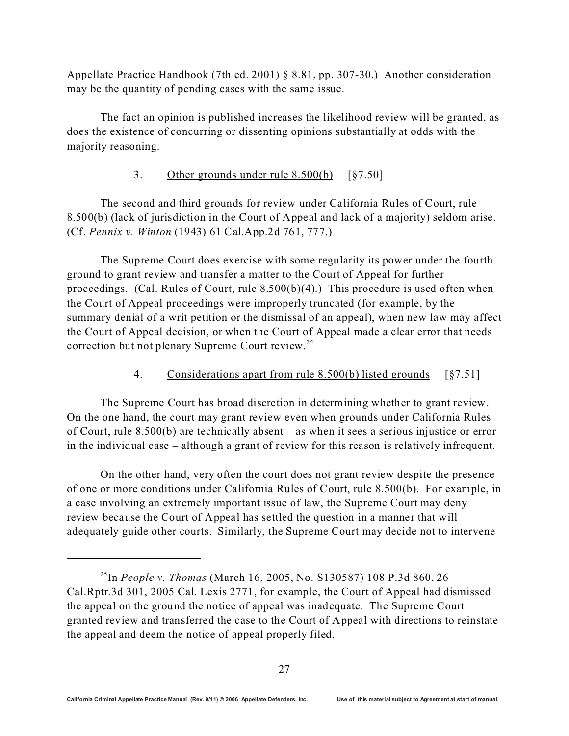Appellate Practice Handbook (7th ed. 2001) § 8.81, pp. 307-30.) Another consideration may be the quantity of pending cases with the same issue.

The fact an opinion is published increases the likelihood review will be granted, as does the existence of concurring or dissenting opinions substantially at odds with the majority reasoning.

### 3. Other grounds under rule 8.500(b) [§7.50]

The second and third grounds for review under California Rules of Court, rule 8.500(b) (lack of jurisdiction in the Court of Appeal and lack of a majority) seldom arise. (Cf. *Pennix v. Winton* (1943) 61 Cal.App.2d 761, 777.)

The Supreme Court does exercise with some regularity its power under the fourth ground to grant review and transfer a matter to the Court of Appeal for further proceedings. (Cal. Rules of Court, rule 8.500(b)(4).) This procedure is used often when the Court of Appeal proceedings were improperly truncated (for example, by the summary denial of a writ petition or the dismissal of an appeal), when new law may affect the Court of Appeal decision, or when the Court of Appeal made a clear error that needs correction but not plenary Supreme Court review.<sup>25</sup>

### 4. Considerations apart from rule 8.500(b) listed grounds [§7.51]

The Supreme Court has broad discretion in determining whether to grant review. On the one hand, the court may grant review even when grounds under California Rules of Court, rule 8.500(b) are technically absent – as when it sees a serious injustice or error in the individual case – although a grant of review for this reason is relatively infrequent.

On the other hand, very often the court does not grant review despite the presence of one or more conditions under California Rules of Court, rule 8.500(b). For example, in a case involving an extremely important issue of law, the Supreme Court may deny review because the Court of Appeal has settled the question in a manner that will adequately guide other courts. Similarly, the Supreme Court may decide not to intervene

<sup>25</sup>In *People v. Thomas* (March 16, 2005, No. S130587) 108 P.3d 860, 26 Cal.Rptr.3d 301, 2005 Cal. Lexis 2771, for example, the Court of Appeal had dismissed the appeal on the ground the notice of appeal was inadequate. The Supreme Court granted review and transferred the case to the Court of Appeal with directions to reinstate the appeal and deem the notice of appeal properly filed.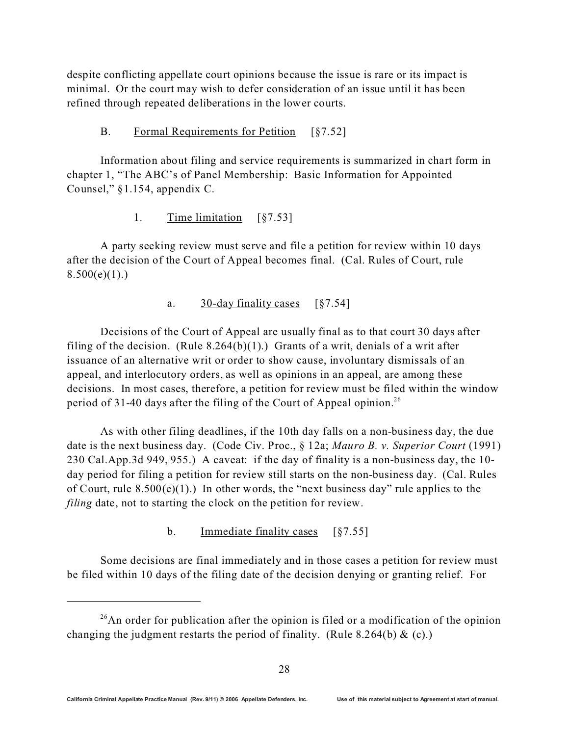despite conflicting appellate court opinions because the issue is rare or its impact is minimal. Or the court may wish to defer consideration of an issue until it has been refined through repeated deliberations in the lower courts.

#### B. Formal Requirements for Petition [§7.52]

Information about filing and service requirements is summarized in chart form in chapter 1, "The ABC's of Panel Membership: Basic Information for Appointed Counsel," §1.154, appendix C.

### 1. Time limitation [§7.53]

A party seeking review must serve and file a petition for review within 10 days after the decision of the Court of Appeal becomes final. (Cal. Rules of Court, rule  $8.500(e)(1)$ .)

### a. 30-day finality cases [§7.54]

Decisions of the Court of Appeal are usually final as to that court 30 days after filing of the decision. (Rule  $8.264(b)(1)$ .) Grants of a writ, denials of a writ after issuance of an alternative writ or order to show cause, involuntary dismissals of an appeal, and interlocutory orders, as well as opinions in an appeal, are among these decisions. In most cases, therefore, a petition for review must be filed within the window period of 31-40 days after the filing of the Court of Appeal opinion.<sup>26</sup>

As with other filing deadlines, if the 10th day falls on a non-business day, the due date is the next business day. (Code Civ. Proc., § 12a; *Mauro B. v. Superior Court* (1991) 230 Cal.App.3d 949, 955.) A caveat: if the day of finality is a non-business day, the 10 day period for filing a petition for review still starts on the non-business day. (Cal. Rules of Court, rule  $8.500(e)(1)$ .) In other words, the "next business day" rule applies to the *filing* date, not to starting the clock on the petition for review.

b. Immediate finality cases [§7.55]

Some decisions are final immediately and in those cases a petition for review must be filed within 10 days of the filing date of the decision denying or granting relief. For

 $26$ An order for publication after the opinion is filed or a modification of the opinion changing the judgment restarts the period of finality. (Rule 8.264(b)  $\&$  (c).)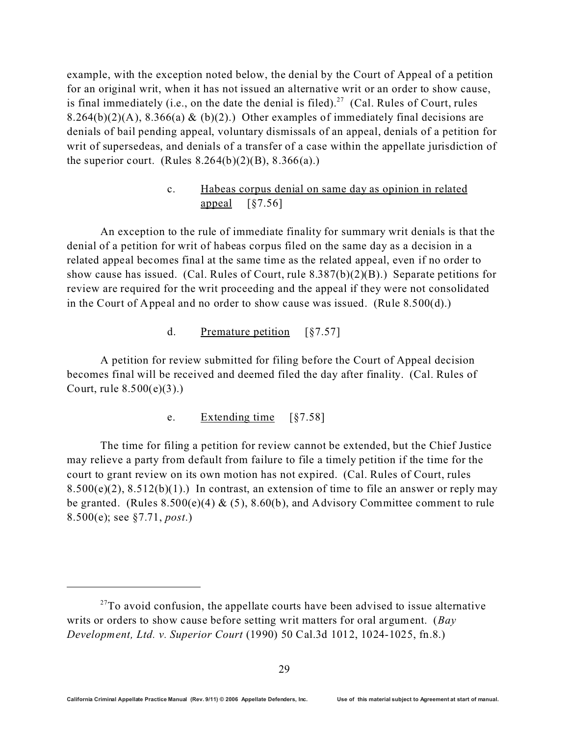example, with the exception noted below, the denial by the Court of Appeal of a petition for an original writ, when it has not issued an alternative writ or an order to show cause, is final immediately (i.e., on the date the denial is filed).<sup>27</sup> (Cal. Rules of Court, rules 8.264(b)(2)(A), 8.366(a) & (b)(2).) Other examples of immediately final decisions are denials of bail pending appeal, voluntary dismissals of an appeal, denials of a petition for writ of supersedeas, and denials of a transfer of a case within the appellate jurisdiction of the superior court. (Rules  $8.264(b)(2)(B)$ ,  $8.366(a)$ .)

## c. Habeas corpus denial on same day as opinion in related appeal [§7.56]

An exception to the rule of immediate finality for summary writ denials is that the denial of a petition for writ of habeas corpus filed on the same day as a decision in a related appeal becomes final at the same time as the related appeal, even if no order to show cause has issued. (Cal. Rules of Court, rule 8.387(b)(2)(B).) Separate petitions for review are required for the writ proceeding and the appeal if they were not consolidated in the Court of Appeal and no order to show cause was issued. (Rule 8.500(d).)

### d. Premature petition [§7.57]

A petition for review submitted for filing before the Court of Appeal decision becomes final will be received and deemed filed the day after finality. (Cal. Rules of Court, rule 8.500(e)(3).)

e. Extending time [§7.58]

The time for filing a petition for review cannot be extended, but the Chief Justice may relieve a party from default from failure to file a timely petition if the time for the court to grant review on its own motion has not expired. (Cal. Rules of Court, rules  $8.500(e)(2)$ ,  $8.512(b)(1)$ .) In contrast, an extension of time to file an answer or reply may be granted. (Rules  $8.500(e)(4) \& (5)$ ,  $8.60(b)$ , and Advisory Committee comment to rule 8.500(e); see §7.71, *post*.)

 $27$ To avoid confusion, the appellate courts have been advised to issue alternative writs or orders to show cause before setting writ matters for oral argument. (*Bay Development, Ltd. v. Superior Court* (1990) 50 Cal.3d 1012, 1024-1025, fn.8.)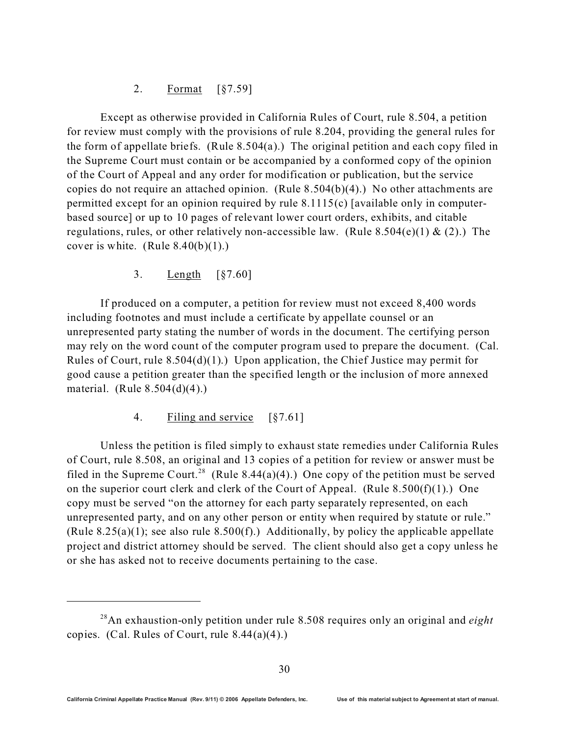#### 2. Format [§7.59]

Except as otherwise provided in California Rules of Court, rule 8.504, a petition for review must comply with the provisions of rule 8.204, providing the general rules for the form of appellate briefs. (Rule 8.504(a).) The original petition and each copy filed in the Supreme Court must contain or be accompanied by a conformed copy of the opinion of the Court of Appeal and any order for modification or publication, but the service copies do not require an attached opinion. (Rule 8.504(b)(4).) No other attachments are permitted except for an opinion required by rule 8.1115(c) [available only in computerbased source] or up to 10 pages of relevant lower court orders, exhibits, and citable regulations, rules, or other relatively non-accessible law. (Rule 8.504(e)(1) & (2).) The cover is white. (Rule  $8.40(b)(1)$ .)

3. Length [§7.60]

If produced on a computer, a petition for review must not exceed 8,400 words including footnotes and must include a certificate by appellate counsel or an unrepresented party stating the number of words in the document. The certifying person may rely on the word count of the computer program used to prepare the document. (Cal. Rules of Court, rule 8.504(d)(1).) Upon application, the Chief Justice may permit for good cause a petition greater than the specified length or the inclusion of more annexed material. (Rule  $8.504(d)(4)$ .)

4. Filing and service [§7.61]

Unless the petition is filed simply to exhaust state remedies under California Rules of Court, rule 8.508, an original and 13 copies of a petition for review or answer must be filed in the Supreme Court.<sup>28</sup> (Rule 8.44(a)(4).) One copy of the petition must be served on the superior court clerk and clerk of the Court of Appeal. (Rule  $8.500(f)(1)$ .) One copy must be served "on the attorney for each party separately represented, on each unrepresented party, and on any other person or entity when required by statute or rule." (Rule 8.25(a)(1); see also rule 8.500(f).) Additionally, by policy the applicable appellate project and district attorney should be served. The client should also get a copy unless he or she has asked not to receive documents pertaining to the case.

<sup>28</sup>An exhaustion-only petition under rule 8.508 requires only an original and *eight* copies. (Cal. Rules of Court, rule 8.44(a)(4).)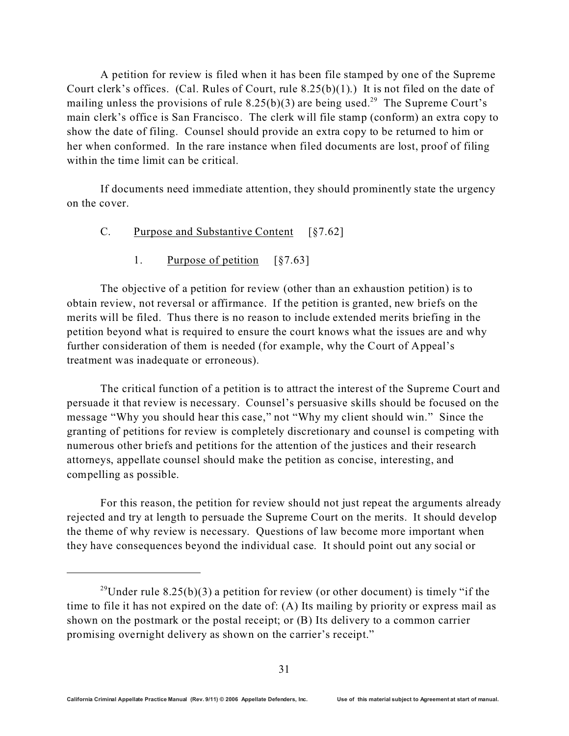A petition for review is filed when it has been file stamped by one of the Supreme Court clerk's offices. (Cal. Rules of Court, rule 8.25(b)(1).) It is not filed on the date of mailing unless the provisions of rule  $8.25(b)(3)$  are being used.<sup>29</sup> The Supreme Court's main clerk's office is San Francisco. The clerk will file stamp (conform) an extra copy to show the date of filing. Counsel should provide an extra copy to be returned to him or her when conformed. In the rare instance when filed documents are lost, proof of filing within the time limit can be critical.

If documents need immediate attention, they should prominently state the urgency on the cover.

- C. Purpose and Substantive Content [§7.62]
	- 1. Purpose of petition [§7.63]

The objective of a petition for review (other than an exhaustion petition) is to obtain review, not reversal or affirmance. If the petition is granted, new briefs on the merits will be filed. Thus there is no reason to include extended merits briefing in the petition beyond what is required to ensure the court knows what the issues are and why further consideration of them is needed (for example, why the Court of Appeal's treatment was inadequate or erroneous).

The critical function of a petition is to attract the interest of the Supreme Court and persuade it that review is necessary. Counsel's persuasive skills should be focused on the message "Why you should hear this case," not "Why my client should win." Since the granting of petitions for review is completely discretionary and counsel is competing with numerous other briefs and petitions for the attention of the justices and their research attorneys, appellate counsel should make the petition as concise, interesting, and compelling as possible.

For this reason, the petition for review should not just repeat the arguments already rejected and try at length to persuade the Supreme Court on the merits. It should develop the theme of why review is necessary. Questions of law become more important when they have consequences beyond the individual case. It should point out any social or

<sup>&</sup>lt;sup>29</sup>Under rule 8.25(b)(3) a petition for review (or other document) is timely "if the time to file it has not expired on the date of: (A) Its mailing by priority or express mail as shown on the postmark or the postal receipt; or (B) Its delivery to a common carrier promising overnight delivery as shown on the carrier's receipt."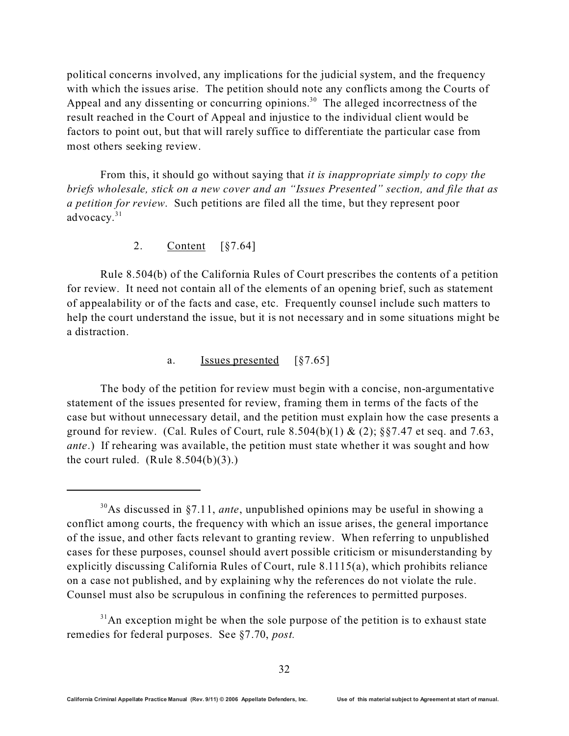political concerns involved, any implications for the judicial system, and the frequency with which the issues arise. The petition should note any conflicts among the Courts of Appeal and any dissenting or concurring opinions.<sup>30</sup> The alleged incorrectness of the result reached in the Court of Appeal and injustice to the individual client would be factors to point out, but that will rarely suffice to differentiate the particular case from most others seeking review.

From this, it should go without saying that *it is inappropriate simply to copy the briefs wholesale, stick on a new cover and an "Issues Presented" section, and file that as a petition for review*. Such petitions are filed all the time, but they represent poor advocacy.<sup>31</sup>

#### 2. Content [§7.64]

Rule 8.504(b) of the California Rules of Court prescribes the contents of a petition for review. It need not contain all of the elements of an opening brief, such as statement of appealability or of the facts and case, etc. Frequently counsel include such matters to help the court understand the issue, but it is not necessary and in some situations might be a distraction.

#### a. Issues presented [§7.65]

The body of the petition for review must begin with a concise, non-argumentative statement of the issues presented for review, framing them in terms of the facts of the case but without unnecessary detail, and the petition must explain how the case presents a ground for review. (Cal. Rules of Court, rule  $8.504(b)(1)$  & (2);  $\S$  $\S$ 7.47 et seq. and 7.63, *ante*.) If rehearing was available, the petition must state whether it was sought and how the court ruled. (Rule  $8.504(b)(3)$ .)

<sup>30</sup>As discussed in §7.11, *ante*, unpublished opinions may be useful in showing a conflict among courts, the frequency with which an issue arises, the general importance of the issue, and other facts relevant to granting review. When referring to unpublished cases for these purposes, counsel should avert possible criticism or misunderstanding by explicitly discussing California Rules of Court, rule 8.1115(a), which prohibits reliance on a case not published, and by explaining why the references do not violate the rule. Counsel must also be scrupulous in confining the references to permitted purposes.

 $31$ An exception might be when the sole purpose of the petition is to exhaust state remedies for federal purposes. See §7.70, *post.*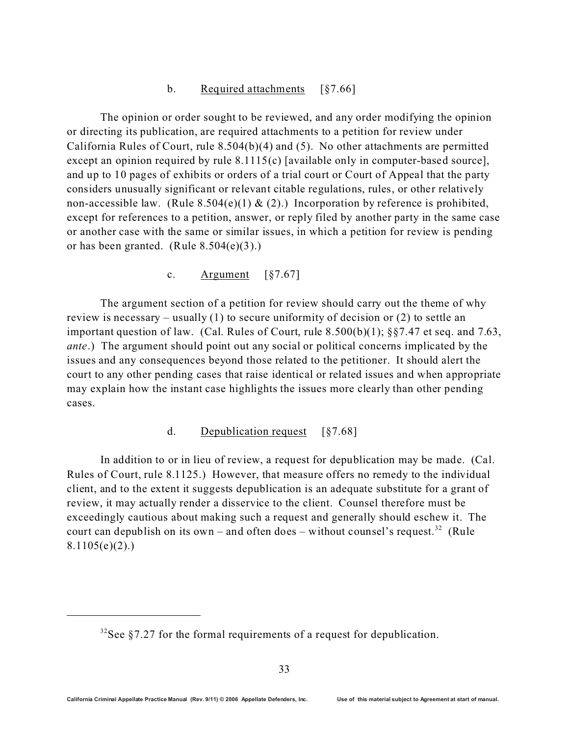#### b. Required attachments [§7.66]

The opinion or order sought to be reviewed, and any order modifying the opinion or directing its publication, are required attachments to a petition for review under California Rules of Court, rule 8.504(b)(4) and (5). No other attachments are permitted except an opinion required by rule 8.1115(c) [available only in computer-based source], and up to 10 pages of exhibits or orders of a trial court or Court of Appeal that the party considers unusually significant or relevant citable regulations, rules, or other relatively non-accessible law. (Rule 8.504(e)(1) & (2).) Incorporation by reference is prohibited, except for references to a petition, answer, or reply filed by another party in the same case or another case with the same or similar issues, in which a petition for review is pending or has been granted. (Rule  $8.504(e)(3)$ .)

c. Argument  $\lceil \frac{6}{57.67} \rceil$ 

The argument section of a petition for review should carry out the theme of why review is necessary – usually (1) to secure uniformity of decision or (2) to settle an important question of law. (Cal. Rules of Court, rule 8.500(b)(1); §§7.47 et seq. and 7.63, *ante*.) The argument should point out any social or political concerns implicated by the issues and any consequences beyond those related to the petitioner. It should alert the court to any other pending cases that raise identical or related issues and when appropriate may explain how the instant case highlights the issues more clearly than other pending cases.

### d. Depublication request [§7.68]

In addition to or in lieu of review, a request for depublication may be made. (Cal. Rules of Court, rule 8.1125.) However, that measure offers no remedy to the individual client, and to the extent it suggests depublication is an adequate substitute for a grant of review, it may actually render a disservice to the client. Counsel therefore must be exceedingly cautious about making such a request and generally should eschew it. The court can depublish on its own – and often does – without counsel's request.<sup>32</sup> (Rule  $8.1105(e)(2)$ .

 $32$ See §7.27 for the formal requirements of a request for depublication.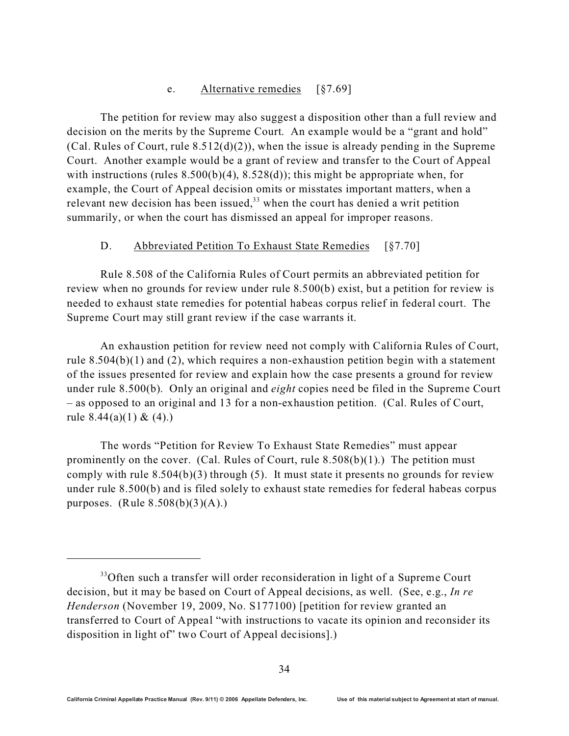#### e. Alternative remedies [§7.69]

The petition for review may also suggest a disposition other than a full review and decision on the merits by the Supreme Court. An example would be a "grant and hold" (Cal. Rules of Court, rule  $8.512(d)(2)$ ), when the issue is already pending in the Supreme Court. Another example would be a grant of review and transfer to the Court of Appeal with instructions (rules  $8.500(b)(4)$ ,  $8.528(d)$ ); this might be appropriate when, for example, the Court of Appeal decision omits or misstates important matters, when a relevant new decision has been issued, $33$  when the court has denied a writ petition summarily, or when the court has dismissed an appeal for improper reasons.

#### D. Abbreviated Petition To Exhaust State Remedies [§7.70]

Rule 8.508 of the California Rules of Court permits an abbreviated petition for review when no grounds for review under rule 8.500(b) exist, but a petition for review is needed to exhaust state remedies for potential habeas corpus relief in federal court. The Supreme Court may still grant review if the case warrants it.

An exhaustion petition for review need not comply with California Rules of Court, rule 8.504(b)(1) and (2), which requires a non-exhaustion petition begin with a statement of the issues presented for review and explain how the case presents a ground for review under rule 8.500(b). Only an original and *eight* copies need be filed in the Supreme Court – as opposed to an original and 13 for a non-exhaustion petition. (Cal. Rules of Court, rule  $8.44(a)(1) \& (4)$ .)

The words "Petition for Review To Exhaust State Remedies" must appear prominently on the cover. (Cal. Rules of Court, rule  $8.508(b)(1)$ .) The petition must comply with rule  $8.504(b)(3)$  through (5). It must state it presents no grounds for review under rule 8.500(b) and is filed solely to exhaust state remedies for federal habeas corpus purposes. (Rule  $8.508(b)(3)(A)$ .)

<sup>&</sup>lt;sup>33</sup>Often such a transfer will order reconsideration in light of a Supreme Court decision, but it may be based on Court of Appeal decisions, as well. (See, e.g., *In re Henderson* (November 19, 2009, No. S177100) [petition for review granted an transferred to Court of Appeal "with instructions to vacate its opinion and reconsider its disposition in light of" two Court of Appeal decisions].)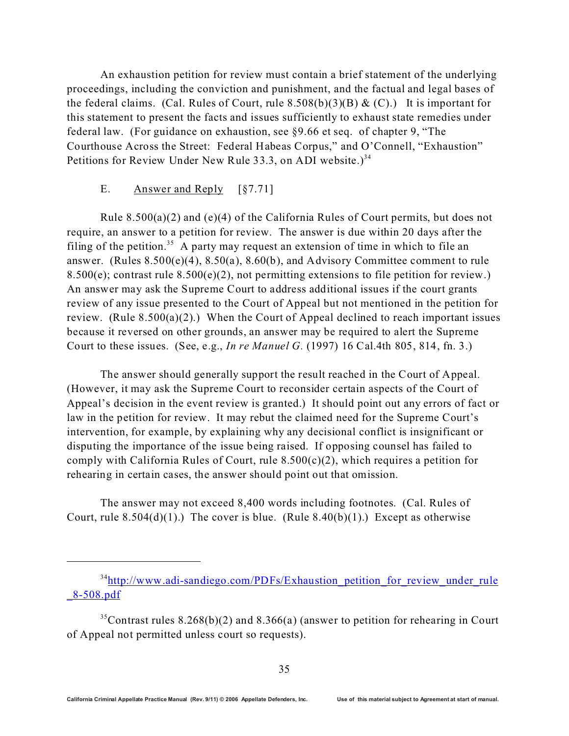An exhaustion petition for review must contain a brief statement of the underlying proceedings, including the conviction and punishment, and the factual and legal bases of the federal claims. (Cal. Rules of Court, rule  $8.508(b)(3)(B) & (C)$ .) It is important for this statement to present the facts and issues sufficiently to exhaust state remedies under federal law. (For guidance on exhaustion, see §9.66 et seq. of chapter 9, "The Courthouse Across the Street: Federal Habeas Corpus," and O'Connell, "Exhaustion" Petitions for Review Under New Rule 33.3, on ADI website.)<sup>34</sup>

#### E. Answer and Reply [§7.71]

Rule  $8.500(a)(2)$  and (e)(4) of the California Rules of Court permits, but does not require, an answer to a petition for review. The answer is due within 20 days after the filing of the petition.<sup>35</sup> A party may request an extension of time in which to file an answer. (Rules 8.500(e)(4), 8.50(a), 8.60(b), and Advisory Committee comment to rule 8.500(e); contrast rule  $8.500(e)(2)$ , not permitting extensions to file petition for review.) An answer may ask the Supreme Court to address additional issues if the court grants review of any issue presented to the Court of Appeal but not mentioned in the petition for review. (Rule  $8.500(a)(2)$ .) When the Court of Appeal declined to reach important issues because it reversed on other grounds, an answer may be required to alert the Supreme Court to these issues. (See, e.g., *In re Manuel G.* (1997) 16 Cal.4th 805, 814, fn. 3.)

The answer should generally support the result reached in the Court of Appeal. (However, it may ask the Supreme Court to reconsider certain aspects of the Court of Appeal's decision in the event review is granted.) It should point out any errors of fact or law in the petition for review. It may rebut the claimed need for the Supreme Court's intervention, for example, by explaining why any decisional conflict is insignificant or disputing the importance of the issue being raised. If opposing counsel has failed to comply with California Rules of Court, rule  $8.500(c)(2)$ , which requires a petition for rehearing in certain cases, the answer should point out that omission.

The answer may not exceed 8,400 words including footnotes. (Cal. Rules of Court, rule  $8.504(d)(1)$ .) The cover is blue. (Rule  $8.40(b)(1)$ .) Except as otherwise

<sup>&</sup>lt;sup>34</sup>http://www.adi-sandiego.com/PDFs/Exhaustion petition for review under rule [\\_8-508.pdf](http://www.adi-sandiego.com/PDFs/Exhaustion_petition_for_review_under_rule_8-508.pdf)

<sup>&</sup>lt;sup>35</sup>Contrast rules 8.268(b)(2) and 8.366(a) (answer to petition for rehearing in Court of Appeal not permitted unless court so requests).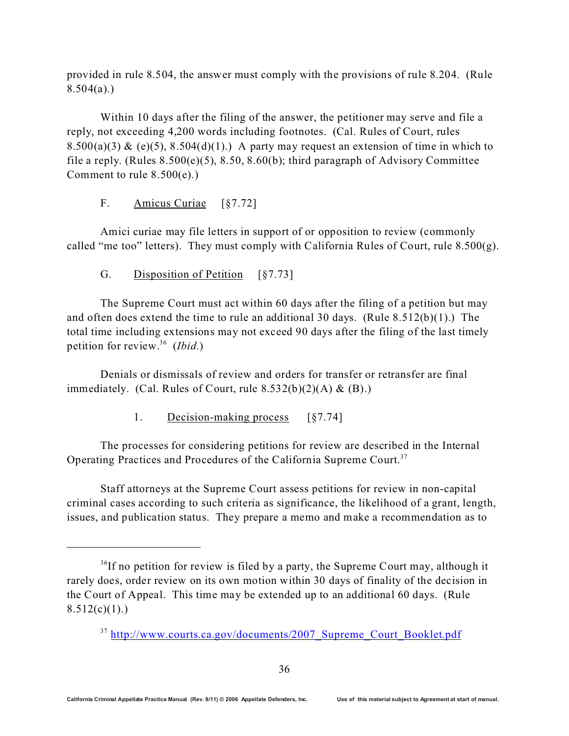provided in rule 8.504, the answer must comply with the provisions of rule 8.204. (Rule  $8.504(a)$ .)

Within 10 days after the filing of the answer, the petitioner may serve and file a reply, not exceeding 4,200 words including footnotes. (Cal. Rules of Court, rules 8.500(a)(3) & (e)(5), 8.504(d)(1).) A party may request an extension of time in which to file a reply. (Rules 8.500(e)(5), 8.50, 8.60(b); third paragraph of Advisory Committee Comment to rule 8.500(e).)

F. Amicus Curiae [§7.72]

Amici curiae may file letters in support of or opposition to review (commonly called "me too" letters). They must comply with California Rules of Court, rule  $8.500(g)$ .

G. Disposition of Petition [§7.73]

The Supreme Court must act within 60 days after the filing of a petition but may and often does extend the time to rule an additional 30 days. (Rule 8.512(b)(1).) The total time including extensions may not exceed 90 days after the filing of the last timely petition for review.<sup>36</sup> (*Ibid.*)

Denials or dismissals of review and orders for transfer or retransfer are final immediately. (Cal. Rules of Court, rule  $8.532(b)(2)(A) \& (B).$ )

1. Decision-making process [§7.74]

The processes for considering petitions for review are described in the Internal Operating Practices and Procedures of the California Supreme Court.<sup>37</sup>

Staff attorneys at the Supreme Court assess petitions for review in non-capital criminal cases according to such criteria as significance, the likelihood of a grant, length, issues, and publication status. They prepare a memo and make a recommendation as to

 $36$ If no petition for review is filed by a party, the Supreme Court may, although it rarely does, order review on its own motion within 30 days of finality of the decision in the Court of Appeal. This time may be extended up to an additional 60 days. (Rule  $8.512(c)(1)$ .

<sup>&</sup>lt;sup>37</sup> http://www.courts.ca.gov/documents/2007 Supreme Court Booklet.pdf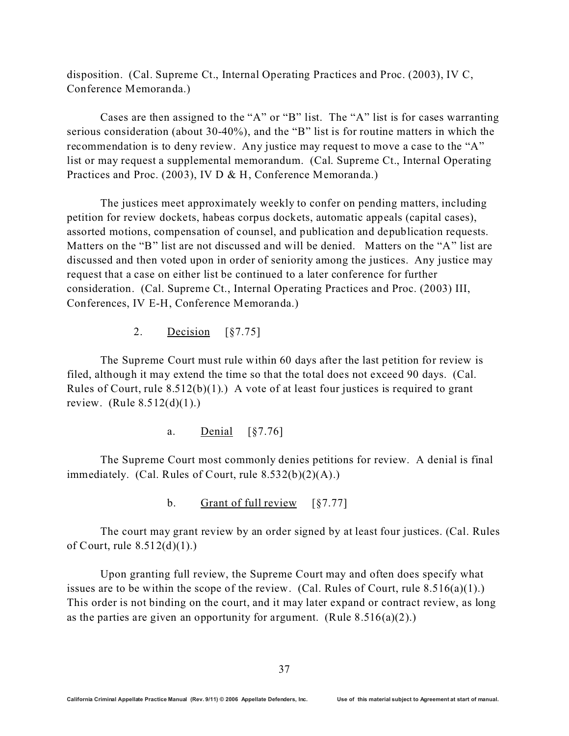disposition. (Cal. Supreme Ct., Internal Operating Practices and Proc. (2003), IV C, Conference Memoranda.)

Cases are then assigned to the "A" or "B" list. The "A" list is for cases warranting serious consideration (about 30-40%), and the "B" list is for routine matters in which the recommendation is to deny review. Any justice may request to move a case to the "A" list or may request a supplemental memorandum. (Cal. Supreme Ct., Internal Operating Practices and Proc. (2003), IV D & H, Conference Memoranda.)

The justices meet approximately weekly to confer on pending matters, including petition for review dockets, habeas corpus dockets, automatic appeals (capital cases), assorted motions, compensation of counsel, and publication and depublication requests. Matters on the "B" list are not discussed and will be denied. Matters on the "A" list are discussed and then voted upon in order of seniority among the justices. Any justice may request that a case on either list be continued to a later conference for further consideration. (Cal. Supreme Ct., Internal Operating Practices and Proc. (2003) III, Conferences, IV E-H, Conference Memoranda.)

2. Decision [§7.75]

The Supreme Court must rule within 60 days after the last petition for review is filed, although it may extend the time so that the total does not exceed 90 days. (Cal. Rules of Court, rule  $8.512(b)(1)$ .) A vote of at least four justices is required to grant review. (Rule  $8.512(d)(1)$ .)

a. Denial [§7.76]

The Supreme Court most commonly denies petitions for review. A denial is final immediately. (Cal. Rules of Court, rule  $8.532(b)(2)(A)$ .)

b. Grant of full review [§7.77]

The court may grant review by an order signed by at least four justices. (Cal. Rules of Court, rule  $8.512(d)(1)$ .

Upon granting full review, the Supreme Court may and often does specify what issues are to be within the scope of the review. (Cal. Rules of Court, rule  $8.516(a)(1)$ .) This order is not binding on the court, and it may later expand or contract review, as long as the parties are given an opportunity for argument. (Rule  $8.516(a)(2)$ .)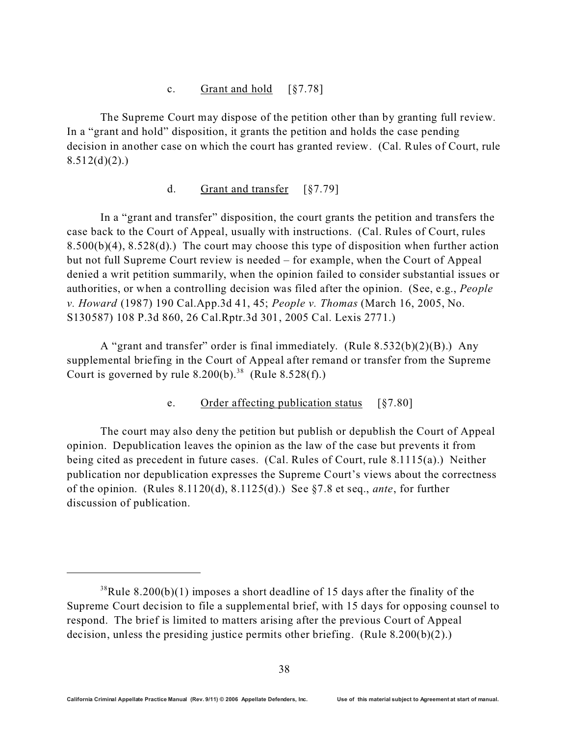### c. Grant and hold [§7.78]

The Supreme Court may dispose of the petition other than by granting full review. In a "grant and hold" disposition, it grants the petition and holds the case pending decision in another case on which the court has granted review. (Cal. Rules of Court, rule  $8.512(d)(2)$ .

#### d. Grant and transfer [§7.79]

In a "grant and transfer" disposition, the court grants the petition and transfers the case back to the Court of Appeal, usually with instructions. (Cal. Rules of Court, rules 8.500(b)(4), 8.528(d).) The court may choose this type of disposition when further action but not full Supreme Court review is needed – for example, when the Court of Appeal denied a writ petition summarily, when the opinion failed to consider substantial issues or authorities, or when a controlling decision was filed after the opinion. (See, e.g., *People v. Howard* (1987) 190 Cal.App.3d 41, 45; *People v. Thomas* (March 16, 2005, No. S130587) 108 P.3d 860, 26 Cal.Rptr.3d 301, 2005 Cal. Lexis 2771.)

A "grant and transfer" order is final immediately. (Rule 8.532(b)(2)(B).) Any supplemental briefing in the Court of Appeal after remand or transfer from the Supreme Court is governed by rule  $8.200(b)$ .<sup>38</sup> (Rule  $8.528(f)$ .)

### e. Order affecting publication status [§7.80]

The court may also deny the petition but publish or depublish the Court of Appeal opinion. Depublication leaves the opinion as the law of the case but prevents it from being cited as precedent in future cases. (Cal. Rules of Court, rule 8.1115(a).) Neither publication nor depublication expresses the Supreme Court's views about the correctness of the opinion. (Rules 8.1120(d), 8.1125(d).) See §7.8 et seq., *ante*, for further discussion of publication.

 $38$ Rule 8.200(b)(1) imposes a short deadline of 15 days after the finality of the Supreme Court decision to file a supplemental brief, with 15 days for opposing counsel to respond. The brief is limited to matters arising after the previous Court of Appeal decision, unless the presiding justice permits other briefing. (Rule 8.200(b)(2).)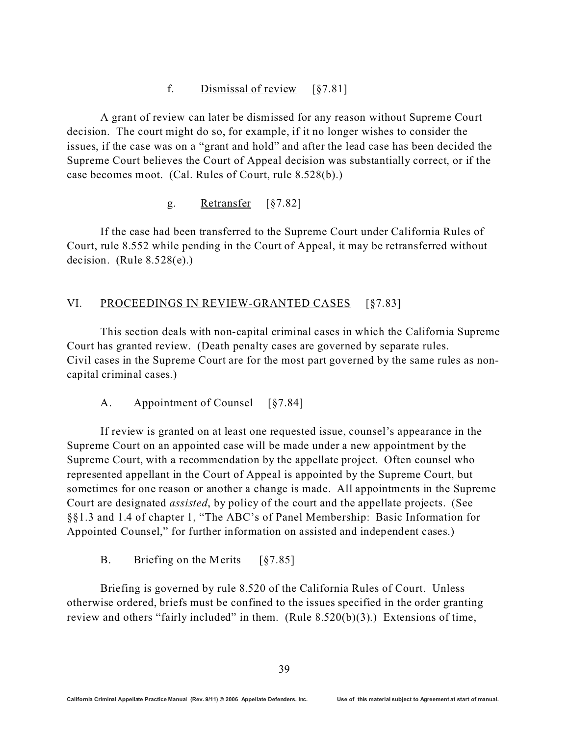### f. Dismissal of review [§7.81]

A grant of review can later be dismissed for any reason without Supreme Court decision. The court might do so, for example, if it no longer wishes to consider the issues, if the case was on a "grant and hold" and after the lead case has been decided the Supreme Court believes the Court of Appeal decision was substantially correct, or if the case becomes moot. (Cal. Rules of Court, rule 8.528(b).)

### g. Retransfer [§7.82]

If the case had been transferred to the Supreme Court under California Rules of Court, rule 8.552 while pending in the Court of Appeal, it may be retransferred without decision. (Rule  $8.528(e)$ .)

### VI. PROCEEDINGS IN REVIEW-GRANTED CASES [§7.83]

This section deals with non-capital criminal cases in which the California Supreme Court has granted review. (Death penalty cases are governed by separate rules. Civil cases in the Supreme Court are for the most part governed by the same rules as noncapital criminal cases.)

### A. Appointment of Counsel [§7.84]

If review is granted on at least one requested issue, counsel's appearance in the Supreme Court on an appointed case will be made under a new appointment by the Supreme Court, with a recommendation by the appellate project. Often counsel who represented appellant in the Court of Appeal is appointed by the Supreme Court, but sometimes for one reason or another a change is made. All appointments in the Supreme Court are designated *assisted*, by policy of the court and the appellate projects. (See §§1.3 and 1.4 of chapter 1, "The ABC's of Panel Membership: Basic Information for Appointed Counsel," for further information on assisted and independent cases.)

### B. Briefing on the Merits [§7.85]

Briefing is governed by rule 8.520 of the California Rules of Court. Unless otherwise ordered, briefs must be confined to the issues specified in the order granting review and others "fairly included" in them. (Rule  $8.520(b)(3)$ .) Extensions of time,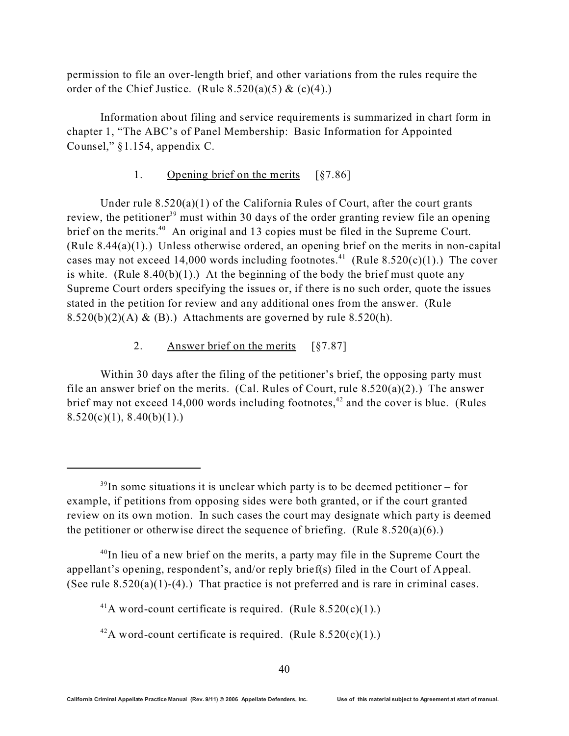permission to file an over-length brief, and other variations from the rules require the order of the Chief Justice. (Rule  $8.520(a)(5) & (c)(4)$ .)

Information about filing and service requirements is summarized in chart form in chapter 1, "The ABC's of Panel Membership: Basic Information for Appointed Counsel," §1.154, appendix C.

### 1. Opening brief on the merits [§7.86]

Under rule  $8.520(a)(1)$  of the California Rules of Court, after the court grants review, the petitioner<sup>39</sup> must within 30 days of the order granting review file an opening brief on the merits.<sup>40</sup> An original and 13 copies must be filed in the Supreme Court. (Rule 8.44(a)(1).) Unless otherwise ordered, an opening brief on the merits in non-capital cases may not exceed 14,000 words including footnotes.<sup>41</sup> (Rule 8.520(c)(1).) The cover is white. (Rule  $8.40(b)(1)$ .) At the beginning of the body the brief must quote any Supreme Court orders specifying the issues or, if there is no such order, quote the issues stated in the petition for review and any additional ones from the answer. (Rule  $8.520(b)(2)(A) \& (B).$  Attachments are governed by rule  $8.520(h)$ .

#### 2. Answer brief on the merits [§7.87]

Within 30 days after the filing of the petitioner's brief, the opposing party must file an answer brief on the merits. (Cal. Rules of Court, rule  $8.520(a)(2)$ .) The answer brief may not exceed 14,000 words including footnotes,<sup> $42$ </sup> and the cover is blue. (Rules  $8.520(c)(1), 8.40(b)(1).$ 

 $^{40}$ In lieu of a new brief on the merits, a party may file in the Supreme Court the appellant's opening, respondent's, and/or reply brief(s) filed in the Court of Appeal. (See rule  $8.520(a)(1)-(4)$ .) That practice is not preferred and is rare in criminal cases.

 $39$ In some situations it is unclear which party is to be deemed petitioner – for example, if petitions from opposing sides were both granted, or if the court granted review on its own motion. In such cases the court may designate which party is deemed the petitioner or otherwise direct the sequence of briefing. (Rule 8.520(a)(6).)

<sup>&</sup>lt;sup>41</sup>A word-count certificate is required. (Rule  $8.520(c)(1)$ .)

<sup>&</sup>lt;sup>42</sup>A word-count certificate is required. (Rule  $8.520(c)(1)$ .)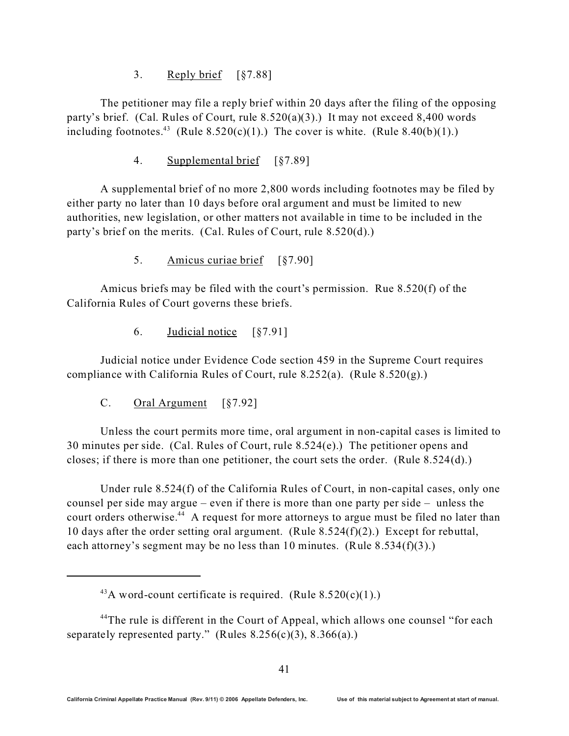### 3. Reply brief [§7.88]

The petitioner may file a reply brief within 20 days after the filing of the opposing party's brief. (Cal. Rules of Court, rule 8.520(a)(3).) It may not exceed 8,400 words including footnotes.<sup>43</sup> (Rule 8.520(c)(1).) The cover is white. (Rule 8.40(b)(1).)

4. Supplemental brief [§7.89]

A supplemental brief of no more 2,800 words including footnotes may be filed by either party no later than 10 days before oral argument and must be limited to new authorities, new legislation, or other matters not available in time to be included in the party's brief on the merits. (Cal. Rules of Court, rule 8.520(d).)

5. Amicus curiae brief [§7.90]

Amicus briefs may be filed with the court's permission. Rue 8.520(f) of the California Rules of Court governs these briefs.

6. Judicial notice [§7.91]

Judicial notice under Evidence Code section 459 in the Supreme Court requires compliance with California Rules of Court, rule  $8.252(a)$ . (Rule  $8.520(g)$ .)

C. Oral Argument [§7.92]

Unless the court permits more time, oral argument in non-capital cases is limited to 30 minutes per side. (Cal. Rules of Court, rule 8.524(e).) The petitioner opens and closes; if there is more than one petitioner, the court sets the order. (Rule 8.524(d).)

Under rule 8.524(f) of the California Rules of Court, in non-capital cases, only one counsel per side may argue – even if there is more than one party per side – unless the court orders otherwise.<sup>44</sup> A request for more attorneys to argue must be filed no later than 10 days after the order setting oral argument. (Rule 8.524(f)(2).) Except for rebuttal, each attorney's segment may be no less than 10 minutes. (Rule  $8.534(f)(3)$ .)

<sup>&</sup>lt;sup>43</sup>A word-count certificate is required. (Rule  $8.520(c)(1)$ .)

<sup>&</sup>lt;sup>44</sup>The rule is different in the Court of Appeal, which allows one counsel "for each" separately represented party." (Rules  $8.256(c)(3)$ ,  $8.366(a)$ .)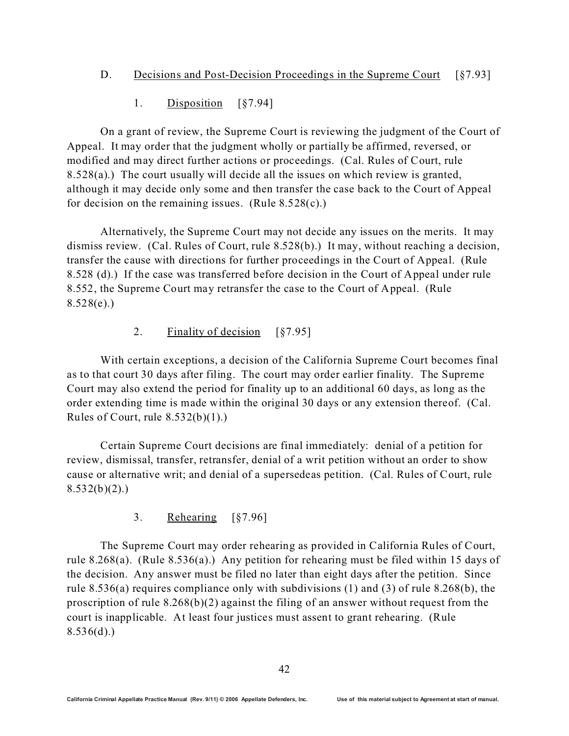1. Disposition [§7.94]

On a grant of review, the Supreme Court is reviewing the judgment of the Court of Appeal. It may order that the judgment wholly or partially be affirmed, reversed, or modified and may direct further actions or proceedings. (Cal. Rules of Court, rule 8.528(a).) The court usually will decide all the issues on which review is granted, although it may decide only some and then transfer the case back to the Court of Appeal for decision on the remaining issues. (Rule  $8.528(c)$ .)

Alternatively, the Supreme Court may not decide any issues on the merits. It may dismiss review. (Cal. Rules of Court, rule 8.528(b).) It may, without reaching a decision, transfer the cause with directions for further proceedings in the Court of Appeal. (Rule 8.528 (d).) If the case was transferred before decision in the Court of Appeal under rule 8.552, the Supreme Court may retransfer the case to the Court of Appeal. (Rule  $8.528(e)$ .)

2. Finality of decision [§7.95]

With certain exceptions, a decision of the California Supreme Court becomes final as to that court 30 days after filing. The court may order earlier finality. The Supreme Court may also extend the period for finality up to an additional 60 days, as long as the order extending time is made within the original 30 days or any extension thereof. (Cal. Rules of Court, rule  $8.532(b)(1)$ .

Certain Supreme Court decisions are final immediately: denial of a petition for review, dismissal, transfer, retransfer, denial of a writ petition without an order to show cause or alternative writ; and denial of a supersedeas petition. (Cal. Rules of Court, rule  $8.532(b)(2)$ .

3. Rehearing [§7.96]

The Supreme Court may order rehearing as provided in California Rules of Court, rule 8.268(a). (Rule 8.536(a).) Any petition for rehearing must be filed within 15 days of the decision. Any answer must be filed no later than eight days after the petition. Since rule 8.536(a) requires compliance only with subdivisions (1) and (3) of rule 8.268(b), the proscription of rule 8.268(b)(2) against the filing of an answer without request from the court is inapplicable. At least four justices must assent to grant rehearing. (Rule  $8.536(d)$ .)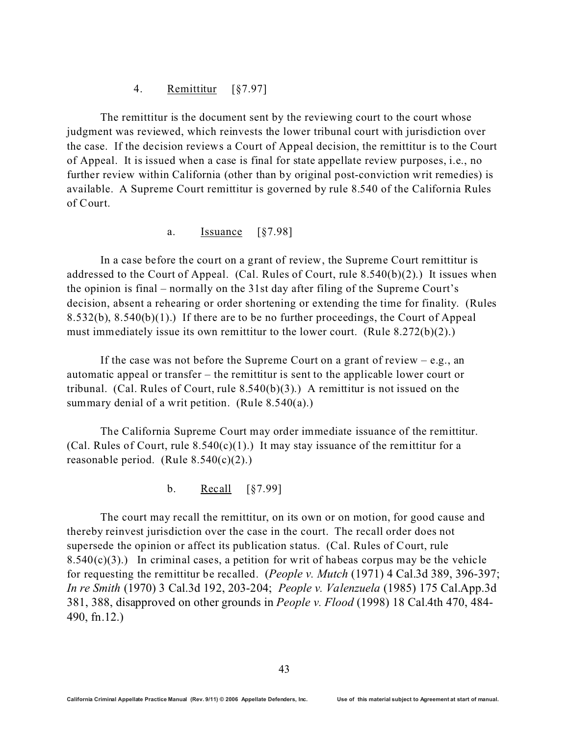#### 4. Remittitur [§7.97]

The remittitur is the document sent by the reviewing court to the court whose judgment was reviewed, which reinvests the lower tribunal court with jurisdiction over the case. If the decision reviews a Court of Appeal decision, the remittitur is to the Court of Appeal. It is issued when a case is final for state appellate review purposes, i.e., no further review within California (other than by original post-conviction writ remedies) is available. A Supreme Court remittitur is governed by rule 8.540 of the California Rules of Court.

#### a. Issuance [§7.98]

In a case before the court on a grant of review, the Supreme Court remittitur is addressed to the Court of Appeal. (Cal. Rules of Court, rule  $8.540(b)(2)$ .) It issues when the opinion is final – normally on the 31st day after filing of the Supreme Court's decision, absent a rehearing or order shortening or extending the time for finality. (Rules 8.532(b), 8.540(b)(1).) If there are to be no further proceedings, the Court of Appeal must immediately issue its own remittitur to the lower court. (Rule 8.272(b)(2).)

If the case was not before the Supreme Court on a grant of review  $-e.g.,$  an automatic appeal or transfer – the remittitur is sent to the applicable lower court or tribunal. (Cal. Rules of Court, rule  $8.540(b)(3)$ .) A remittitur is not issued on the summary denial of a writ petition. (Rule  $8.540(a)$ .)

The California Supreme Court may order immediate issuance of the remittitur. (Cal. Rules of Court, rule  $8.540(c)(1)$ .) It may stay issuance of the remittitur for a reasonable period. (Rule  $8.540(c)(2)$ .)

b. Recall [§7.99]

The court may recall the remittitur, on its own or on motion, for good cause and thereby reinvest jurisdiction over the case in the court. The recall order does not supersede the opinion or affect its publication status. (Cal. Rules of Court, rule 8.540(c)(3).) In criminal cases, a petition for writ of habeas corpus may be the vehicle for requesting the remittitur be recalled. (*People v. Mutch* (1971) 4 Cal.3d 389, 396-397; *In re Smith* (1970) 3 Cal.3d 192, 203-204; *People v. Valenzuela* (1985) 175 Cal.App.3d 381, 388, disapproved on other grounds in *People v. Flood* (1998) 18 Cal.4th 470, 484- 490, fn.12.)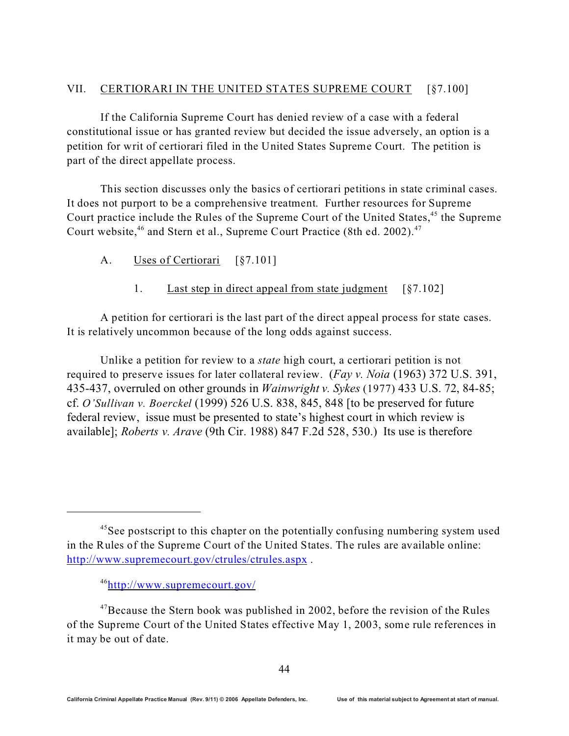### VII. CERTIORARI IN THE UNITED STATES SUPREME COURT [§7.100]

If the California Supreme Court has denied review of a case with a federal constitutional issue or has granted review but decided the issue adversely, an option is a petition for writ of certiorari filed in the United States Supreme Court. The petition is part of the direct appellate process.

This section discusses only the basics of certiorari petitions in state criminal cases. It does not purport to be a comprehensive treatment. Further resources for Supreme Court practice include the Rules of the Supreme Court of the United States,<sup>45</sup> the Supreme Court website,<sup>46</sup> and Stern et al., Supreme Court Practice (8th ed. 2002).<sup>47</sup>

- A. Uses of Certiorari [§7.101]
	- 1. Last step in direct appeal from state judgment [§7.102]

A petition for certiorari is the last part of the direct appeal process for state cases. It is relatively uncommon because of the long odds against success.

Unlike a petition for review to a *state* high court, a certiorari petition is not required to preserve issues for later collateral review. (*Fay v. Noia* (1963) 372 U.S. 391, 435-437, overruled on other grounds in *Wainwright v. Sykes* (1977) 433 U.S. 72, 84-85; cf. *O'Sullivan v. Boerckel* (1999) 526 U.S. 838, 845, 848 [to be preserved for future federal review, issue must be presented to state's highest court in which review is available]; *Roberts v. Arave* (9th Cir. 1988) 847 F.2d 528, 530.) Its use is therefore

<sup>&</sup>lt;sup>45</sup>See postscript to this chapter on the potentially confusing numbering system used in the Rules of the Supreme Court of the United States. The rules are available online: <http://www.supremecourt.gov/ctrules/ctrules.aspx> .

<sup>46</sup><http://www.supremecourt.gov/>

<sup>&</sup>lt;sup>47</sup>Because the Stern book was published in 2002, before the revision of the Rules of the Supreme Court of the United States effective May 1, 2003, some rule references in it may be out of date.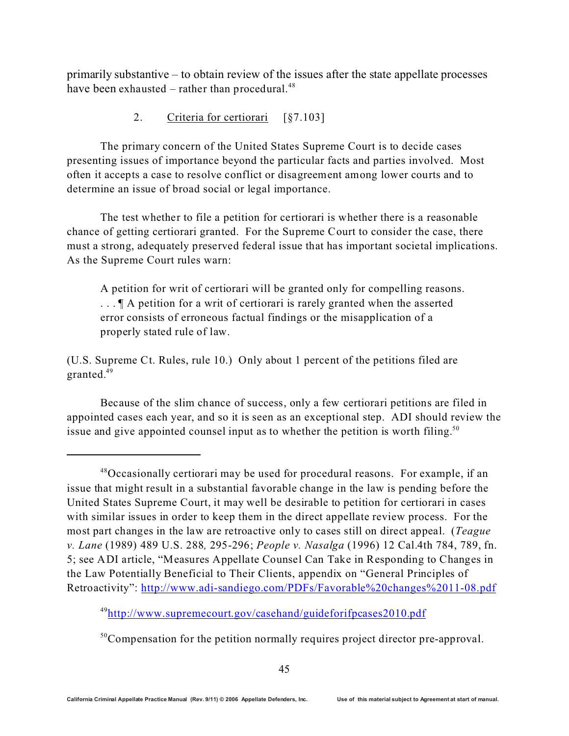primarily substantive – to obtain review of the issues after the state appellate processes have been exhausted – rather than procedural. $48$ 

2. Criteria for certiorari [§7.103]

The primary concern of the United States Supreme Court is to decide cases presenting issues of importance beyond the particular facts and parties involved. Most often it accepts a case to resolve conflict or disagreement among lower courts and to determine an issue of broad social or legal importance.

The test whether to file a petition for certiorari is whether there is a reasonable chance of getting certiorari granted. For the Supreme Court to consider the case, there must a strong, adequately preserved federal issue that has important societal implications. As the Supreme Court rules warn:

A petition for writ of certiorari will be granted only for compelling reasons. ... If A petition for a writ of certiorari is rarely granted when the asserted error consists of erroneous factual findings or the misapplication of a properly stated rule of law.

(U.S. Supreme Ct. Rules, rule 10.) Only about 1 percent of the petitions filed are granted.<sup>49</sup>

Because of the slim chance of success, only a few certiorari petitions are filed in appointed cases each year, and so it is seen as an exceptional step. ADI should review the issue and give appointed counsel input as to whether the petition is worth filing.<sup>50</sup>

<sup>49</sup><http://www.supremecourt.gov/casehand/guideforifpcases2010.pdf>

<sup>50</sup>Compensation for the petition normally requires project director pre-approval.

<sup>&</sup>lt;sup>48</sup>Occasionally certiorari may be used for procedural reasons. For example, if an issue that might result in a substantial favorable change in the law is pending before the United States Supreme Court, it may well be desirable to petition for certiorari in cases with similar issues in order to keep them in the direct appellate review process. For the most part changes in the law are retroactive only to cases still on direct appeal. (*Teague v. Lane* (1989) 489 U.S. 288*,* 295-296; *People v. Nasalga* (1996) 12 Cal.4th 784, 789, fn. 5; see ADI article, "Measures Appellate Counsel Can Take in Responding to Changes in the Law Potentially Beneficial to Their Clients, appendix on "General Principles of Retroactivity":<http://www.adi-sandiego.com/PDFs/Favorable%20changes%2011-08.pdf>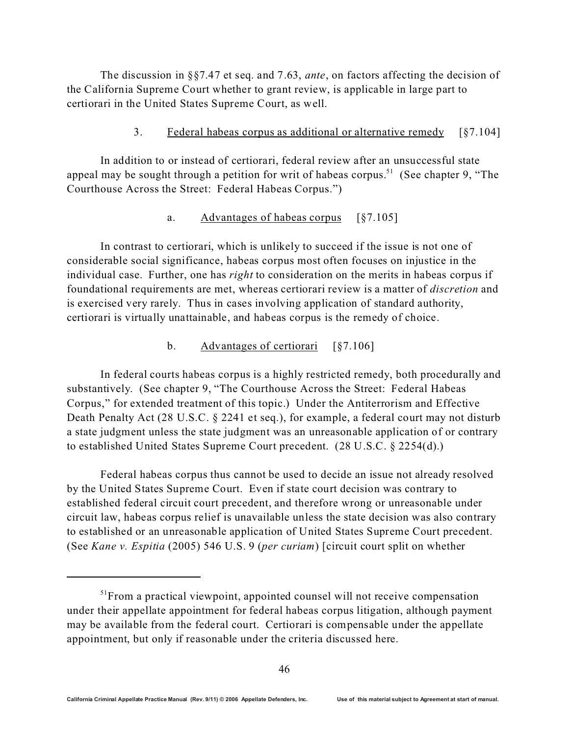The discussion in §§7.47 et seq. and 7.63, *ante*, on factors affecting the decision of the California Supreme Court whether to grant review, is applicable in large part to certiorari in the United States Supreme Court, as well.

#### 3. Federal habeas corpus as additional or alternative remedy [§7.104]

In addition to or instead of certiorari, federal review after an unsuccessful state appeal may be sought through a petition for writ of habeas corpus.<sup>51</sup> (See chapter 9, "The Courthouse Across the Street: Federal Habeas Corpus.")

#### a. Advantages of habeas corpus [§7.105]

In contrast to certiorari, which is unlikely to succeed if the issue is not one of considerable social significance, habeas corpus most often focuses on injustice in the individual case. Further, one has *right* to consideration on the merits in habeas corpus if foundational requirements are met, whereas certiorari review is a matter of *discretion* and is exercised very rarely. Thus in cases involving application of standard authority, certiorari is virtually unattainable, and habeas corpus is the remedy of choice.

#### b. Advantages of certiorari [§7.106]

In federal courts habeas corpus is a highly restricted remedy, both procedurally and substantively. (See chapter 9, "The Courthouse Across the Street: Federal Habeas Corpus," for extended treatment of this topic.) Under the Antiterrorism and Effective Death Penalty Act (28 U.S.C. § 2241 et seq.), for example, a federal court may not disturb a state judgment unless the state judgment was an unreasonable application of or contrary to established United States Supreme Court precedent. (28 U.S.C. § 2254(d).)

Federal habeas corpus thus cannot be used to decide an issue not already resolved by the United States Supreme Court. Even if state court decision was contrary to established federal circuit court precedent, and therefore wrong or unreasonable under circuit law, habeas corpus relief is unavailable unless the state decision was also contrary to established or an unreasonable application of United States Supreme Court precedent. (See *Kane v. Espitia* (2005) 546 U.S. 9 (*per curiam*) [circuit court split on whether

<sup>&</sup>lt;sup>51</sup>From a practical viewpoint, appointed counsel will not receive compensation under their appellate appointment for federal habeas corpus litigation, although payment may be available from the federal court. Certiorari is compensable under the appellate appointment, but only if reasonable under the criteria discussed here.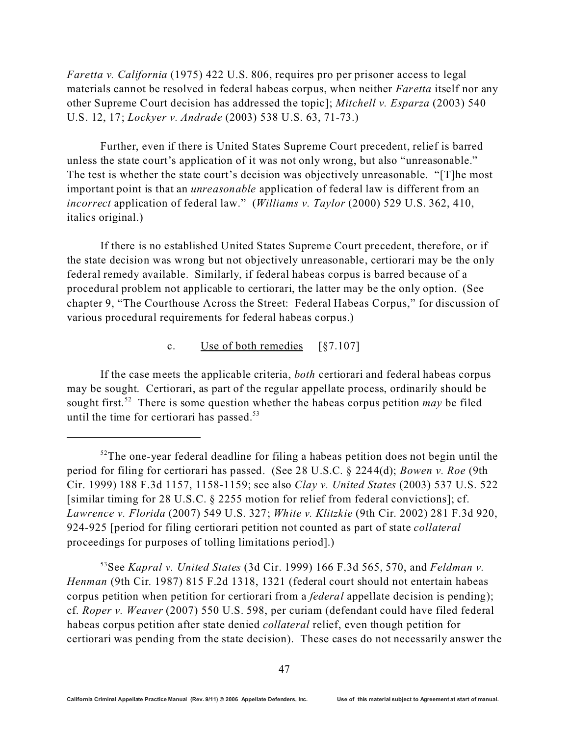*Faretta v. California* (1975) 422 U.S. 806, requires pro per prisoner access to legal materials cannot be resolved in federal habeas corpus, when neither *Faretta* itself nor any other Supreme Court decision has addressed the topic]; *Mitchell v. Esparza* (2003) 540 U.S. 12, 17; *Lockyer v. Andrade* (2003) 538 U.S. 63, 71-73.)

Further, even if there is United States Supreme Court precedent, relief is barred unless the state court's application of it was not only wrong, but also "unreasonable." The test is whether the state court's decision was objectively unreasonable. "[T]he most important point is that an *unreasonable* application of federal law is different from an *incorrect* application of federal law." (*Williams v. Taylor* (2000) 529 U.S. 362, 410, italics original.)

If there is no established United States Supreme Court precedent, therefore, or if the state decision was wrong but not objectively unreasonable, certiorari may be the only federal remedy available. Similarly, if federal habeas corpus is barred because of a procedural problem not applicable to certiorari, the latter may be the only option. (See chapter 9, "The Courthouse Across the Street: Federal Habeas Corpus," for discussion of various procedural requirements for federal habeas corpus.)

#### c. Use of both remedies [§7.107]

If the case meets the applicable criteria, *both* certiorari and federal habeas corpus may be sought. Certiorari, as part of the regular appellate process, ordinarily should be sought first.<sup>52</sup> There is some question whether the habeas corpus petition *may* be filed until the time for certiorari has passed. $53$ 

<sup>53</sup>See *Kapral v. United States* (3d Cir. 1999) 166 F.3d 565, 570, and *Feldman v. Henman* (9th Cir. 1987) 815 F.2d 1318, 1321 (federal court should not entertain habeas corpus petition when petition for certiorari from a *federal* appellate decision is pending); cf. *Roper v. Weaver* (2007) 550 U.S. 598, per curiam (defendant could have filed federal habeas corpus petition after state denied *collateral* relief, even though petition for certiorari was pending from the state decision). These cases do not necessarily answer the

 $52$ The one-year federal deadline for filing a habeas petition does not begin until the period for filing for certiorari has passed. (See 28 U.S.C. § 2244(d); *Bowen v. Roe* (9th Cir. 1999) 188 F.3d 1157, 1158-1159; see also *Clay v. United States* (2003) 537 U.S. 522 [similar timing for 28 U.S.C. § 2255 motion for relief from federal convictions]; cf. *Lawrence v. Florida* (2007) 549 U.S. 327; *White v. Klitzkie* (9th Cir. 2002) 281 F.3d 920, 924-925 [period for filing certiorari petition not counted as part of state *collateral* proceedings for purposes of tolling limitations period].)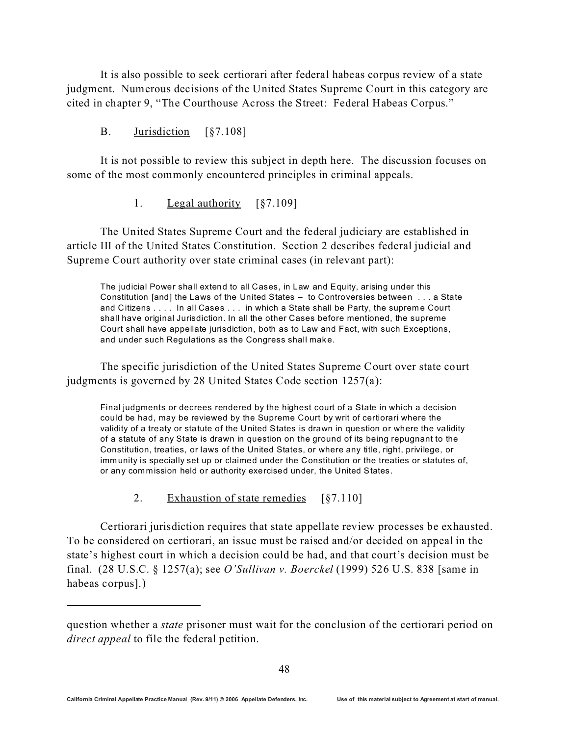It is also possible to seek certiorari after federal habeas corpus review of a state judgment. Numerous decisions of the United States Supreme Court in this category are cited in chapter 9, "The Courthouse Across the Street: Federal Habeas Corpus."

#### B. Jurisdiction [§7.108]

It is not possible to review this subject in depth here. The discussion focuses on some of the most commonly encountered principles in criminal appeals.

#### 1. Legal authority [§7.109]

The United States Supreme Court and the federal judiciary are established in article III of the United States Constitution. Section 2 describes federal judicial and Supreme Court authority over state criminal cases (in relevant part):

The judicial Power shall extend to all Cases, in Law and Equity, arising under this Constitution [and] the Laws of the United States – to Controversies between . . . a State and Citizens . . . . In all Cases . . . in which a State shall be Party, the supreme Court shall have original Jurisdiction. In all the other Cases before mentioned, the supreme Court shall have appellate jurisdiction, both as to Law and Fact, with such Exceptions, and under such Regulations as the Congress shall make.

The specific jurisdiction of the United States Supreme Court over state court judgments is governed by 28 United States Code section 1257(a):

Final judgments or decrees rendered by the highest court of a State in which a decision could be had, may be reviewed by the Supreme Court by writ of certiorari where the validity of a treaty or statute of the United States is drawn in question or where the validity of a statute of any State is drawn in question on the ground of its being repugnant to the Constitution, treaties, or laws of the United States, or where any title, right, privilege, or imm unity is specially set up or claimed under the Constitution or the treaties or statutes of, or any com mission held or authority exercised under, the United States.

2. Exhaustion of state remedies [§7.110]

Certiorari jurisdiction requires that state appellate review processes be exhausted. To be considered on certiorari, an issue must be raised and/or decided on appeal in the state's highest court in which a decision could be had, and that court's decision must be final. (28 U.S.C. § 1257(a); see *O'Sullivan v. Boerckel* (1999) 526 U.S. 838 [same in habeas corpus].)

question whether a *state* prisoner must wait for the conclusion of the certiorari period on *direct appeal* to file the federal petition.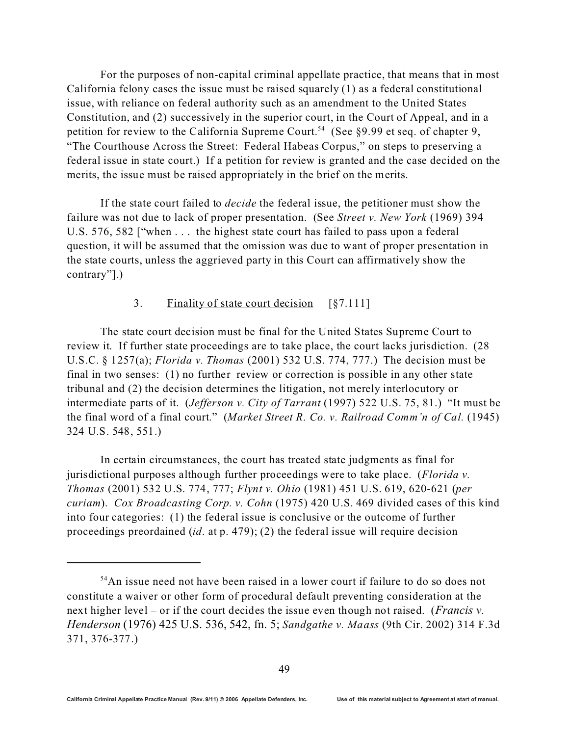For the purposes of non-capital criminal appellate practice, that means that in most California felony cases the issue must be raised squarely (1) as a federal constitutional issue, with reliance on federal authority such as an amendment to the United States Constitution, and (2) successively in the superior court, in the Court of Appeal, and in a petition for review to the California Supreme Court.<sup>54</sup> (See §9.99 et seq. of chapter 9, "The Courthouse Across the Street: Federal Habeas Corpus," on steps to preserving a federal issue in state court.) If a petition for review is granted and the case decided on the merits, the issue must be raised appropriately in the brief on the merits.

If the state court failed to *decide* the federal issue, the petitioner must show the failure was not due to lack of proper presentation. (See *Street v. New York* (1969) 394 U.S. 576, 582 ["when . . . the highest state court has failed to pass upon a federal question, it will be assumed that the omission was due to want of proper presentation in the state courts, unless the aggrieved party in this Court can affirmatively show the contrary"].)

#### 3. Finality of state court decision [§7.111]

The state court decision must be final for the United States Supreme Court to review it. If further state proceedings are to take place, the court lacks jurisdiction. (28 U.S.C. § 1257(a); *Florida v. Thomas* (2001) 532 U.S. 774, 777.) The decision must be final in two senses: (1) no further review or correction is possible in any other state tribunal and (2) the decision determines the litigation, not merely interlocutory or intermediate parts of it. (*Jefferson v. City of Tarrant* (1997) 522 U.S. 75, 81.) "It must be the final word of a final court." (*Market Street R. Co. v. Railroad Comm'n of Cal.* (1945) 324 U.S. 548, 551.)

In certain circumstances, the court has treated state judgments as final for jurisdictional purposes although further proceedings were to take place. (*Florida v. Thomas* (2001) 532 U.S. 774, 777; *Flynt v. Ohio* (1981) 451 U.S. 619, 620-621 (*per curiam*). *Cox Broadcasting Corp. v. Cohn* (1975) 420 U.S. 469 divided cases of this kind into four categories: (1) the federal issue is conclusive or the outcome of further proceedings preordained (*id*. at p. 479); (2) the federal issue will require decision

<sup>&</sup>lt;sup>54</sup>An issue need not have been raised in a lower court if failure to do so does not constitute a waiver or other form of procedural default preventing consideration at the next higher level – or if the court decides the issue even though not raised. (*Francis v. Henderson* (1976) 425 U.S. 536, 542, fn. 5; *Sandgathe v. Maass* (9th Cir. 2002) 314 F.3d 371, 376-377.)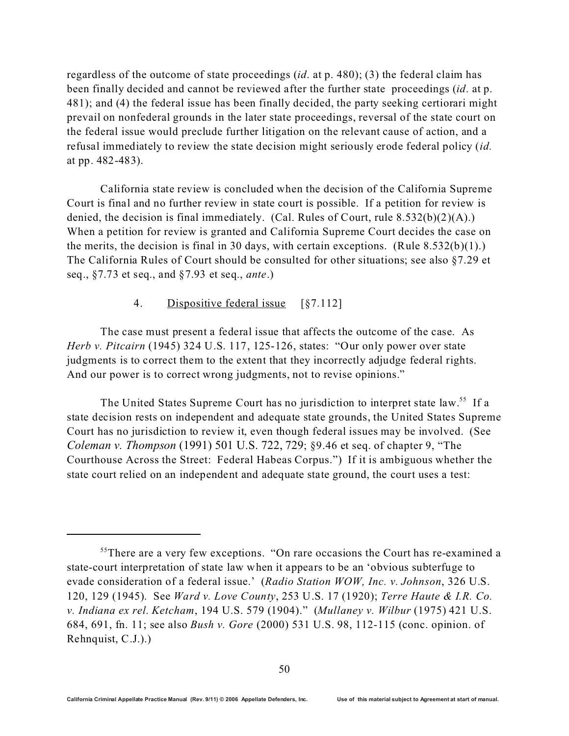regardless of the outcome of state proceedings (*id*. at p. 480); (3) the federal claim has been finally decided and cannot be reviewed after the further state proceedings (*id*. at p. 481); and (4) the federal issue has been finally decided, the party seeking certiorari might prevail on nonfederal grounds in the later state proceedings, reversal of the state court on the federal issue would preclude further litigation on the relevant cause of action, and a refusal immediately to review the state decision might seriously erode federal policy (*id.* at pp. 482-483).

California state review is concluded when the decision of the California Supreme Court is final and no further review in state court is possible. If a petition for review is denied, the decision is final immediately. (Cal. Rules of Court, rule 8.532(b)(2)(A).) When a petition for review is granted and California Supreme Court decides the case on the merits, the decision is final in 30 days, with certain exceptions. (Rule  $8.532(b)(1)$ .) The California Rules of Court should be consulted for other situations; see also §7.29 et seq., §7.73 et seq., and §7.93 et seq., *ante*.)

### 4. Dispositive federal issue [§7.112]

The case must present a federal issue that affects the outcome of the case. As *Herb v. Pitcairn* (1945) 324 U.S. 117, 125-126, states: "Our only power over state judgments is to correct them to the extent that they incorrectly adjudge federal rights. And our power is to correct wrong judgments, not to revise opinions."

The United States Supreme Court has no jurisdiction to interpret state law.<sup>55</sup> If a state decision rests on independent and adequate state grounds, the United States Supreme Court has no jurisdiction to review it, even though federal issues may be involved. (See *Coleman v. Thompson* (1991) 501 U.S. 722, 729; §9.46 et seq. of chapter 9, "The Courthouse Across the Street: Federal Habeas Corpus.") If it is ambiguous whether the state court relied on an independent and adequate state ground, the court uses a test:

<sup>&</sup>lt;sup>55</sup>There are a very few exceptions. "On rare occasions the Court has re-examined a state-court interpretation of state law when it appears to be an 'obvious subterfuge to evade consideration of a federal issue.' (*Radio Station WOW, Inc. v. Johnson*, 326 U.S. 120, 129 (1945). See *Ward v. Love County*, 253 U.S. 17 (1920); *Terre Haute & I.R. Co. v. Indiana ex rel. Ketcham*, 194 U.S. 579 (1904)." (*Mullaney v. Wilbur* (1975) 421 U.S. 684, 691, fn. 11; see also *Bush v. Gore* (2000) 531 U.S. 98, 112-115 (conc. opinion. of Rehnquist, C.J.).)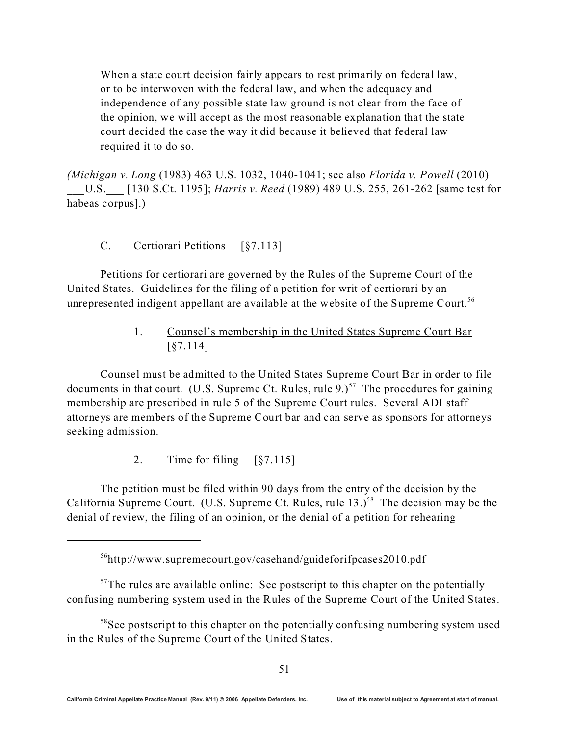When a state court decision fairly appears to rest primarily on federal law, or to be interwoven with the federal law, and when the adequacy and independence of any possible state law ground is not clear from the face of the opinion, we will accept as the most reasonable explanation that the state court decided the case the way it did because it believed that federal law required it to do so.

*(Michigan v. Long* (1983) 463 U.S. 1032, 1040-1041; see also *Florida v. Powell* (2010) \_\_\_U.S.\_\_\_ [130 S.Ct. 1195]; *Harris v. Reed* (1989) 489 U.S. 255, 261-262 [same test for habeas corpus].)

### C. Certiorari Petitions [§7.113]

Petitions for certiorari are governed by the Rules of the Supreme Court of the United States. Guidelines for the filing of a petition for writ of certiorari by an unrepresented indigent appellant are available at the website of the Supreme Court.<sup>56</sup>

> 1. Counsel's membership in the United States Supreme Court Bar [§7.114]

Counsel must be admitted to the United States Supreme Court Bar in order to file documents in that court. (U.S. Supreme Ct. Rules, rule  $9.057$  The procedures for gaining membership are prescribed in rule 5 of the Supreme Court rules. Several ADI staff attorneys are members of the Supreme Court bar and can serve as sponsors for attorneys seeking admission.

### 2. Time for filing [§7.115]

The petition must be filed within 90 days from the entry of the decision by the California Supreme Court. (U.S. Supreme Ct. Rules, rule  $13.$ )<sup>58</sup> The decision may be the denial of review, the filing of an opinion, or the denial of a petition for rehearing

 $^{56}$ http://www.supremecourt.gov/casehand/guideforifpcases2010.pdf

 $57$ The rules are available online: See postscript to this chapter on the potentially confusing numbering system used in the Rules of the Supreme Court of the United States.

<sup>&</sup>lt;sup>58</sup>See postscript to this chapter on the potentially confusing numbering system used in the Rules of the Supreme Court of the United States.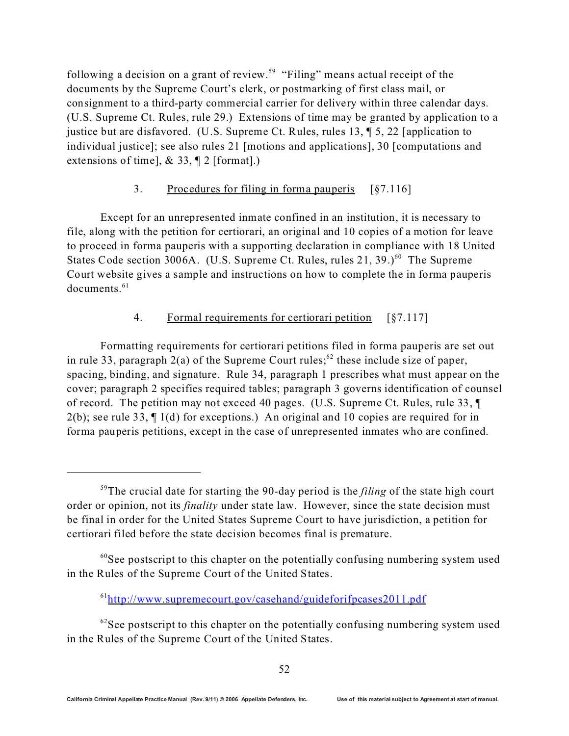following a decision on a grant of review.<sup>59</sup> "Filing" means actual receipt of the documents by the Supreme Court's clerk, or postmarking of first class mail, or consignment to a third-party commercial carrier for delivery within three calendar days. (U.S. Supreme Ct. Rules, rule 29.) Extensions of time may be granted by application to a justice but are disfavored. (U.S. Supreme Ct. Rules, rules 13, ¶ 5, 22 [application to individual justice]; see also rules 21 [motions and applications], 30 [computations and extensions of time], & 33, ¶ 2 [format].)

### 3. Procedures for filing in forma pauperis [§7.116]

Except for an unrepresented inmate confined in an institution, it is necessary to file, along with the petition for certiorari, an original and 10 copies of a motion for leave to proceed in forma pauperis with a supporting declaration in compliance with 18 United States Code section 3006A. (U.S. Supreme Ct. Rules, rules  $21, 39.$ )<sup>60</sup> The Supreme Court website gives a sample and instructions on how to complete the in forma pauperis  $documents.<sup>61</sup>$ 

### 4. Formal requirements for certiorari petition [§7.117]

Formatting requirements for certiorari petitions filed in forma pauperis are set out in rule 33, paragraph  $2(a)$  of the Supreme Court rules;<sup>62</sup> these include size of paper, spacing, binding, and signature. Rule 34, paragraph 1 prescribes what must appear on the cover; paragraph 2 specifies required tables; paragraph 3 governs identification of counsel of record. The petition may not exceed 40 pages. (U.S. Supreme Ct. Rules, rule 33, ¶ 2(b); see rule 33, ¶ 1(d) for exceptions.) An original and 10 copies are required for in forma pauperis petitions, except in the case of unrepresented inmates who are confined.

<sup>59</sup>The crucial date for starting the 90-day period is the *filing* of the state high court order or opinion, not its *finality* under state law. However, since the state decision must be final in order for the United States Supreme Court to have jurisdiction, a petition for certiorari filed before the state decision becomes final is premature.

 $60$ See postscript to this chapter on the potentially confusing numbering system used in the Rules of the Supreme Court of the United States.

 $^{61}$ <http://www.supremecourt.gov/casehand/guideforifpcases2011.pdf>

 $62$ See postscript to this chapter on the potentially confusing numbering system used in the Rules of the Supreme Court of the United States.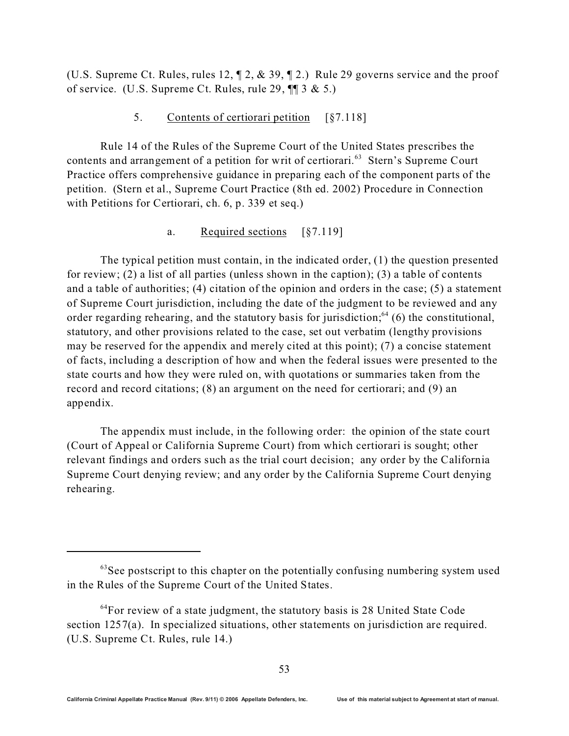(U.S. Supreme Ct. Rules, rules 12, ¶ 2, & 39, ¶ 2.) Rule 29 governs service and the proof of service. (U.S. Supreme Ct. Rules, rule 29,  $\P$   $\uparrow$  3 & 5.)

#### 5. Contents of certiorari petition [§7.118]

Rule 14 of the Rules of the Supreme Court of the United States prescribes the contents and arrangement of a petition for writ of certiorari.<sup>63</sup> Stern's Supreme Court Practice offers comprehensive guidance in preparing each of the component parts of the petition. (Stern et al., Supreme Court Practice (8th ed. 2002) Procedure in Connection with Petitions for Certiorari, ch. 6, p. 339 et seq.)

#### a. Required sections [§7.119]

The typical petition must contain, in the indicated order, (1) the question presented for review; (2) a list of all parties (unless shown in the caption); (3) a table of contents and a table of authorities; (4) citation of the opinion and orders in the case; (5) a statement of Supreme Court jurisdiction, including the date of the judgment to be reviewed and any order regarding rehearing, and the statutory basis for jurisdiction;<sup>64</sup> (6) the constitutional, statutory, and other provisions related to the case, set out verbatim (lengthy provisions may be reserved for the appendix and merely cited at this point); (7) a concise statement of facts, including a description of how and when the federal issues were presented to the state courts and how they were ruled on, with quotations or summaries taken from the record and record citations; (8) an argument on the need for certiorari; and (9) an appendix.

The appendix must include, in the following order: the opinion of the state court (Court of Appeal or California Supreme Court) from which certiorari is sought; other relevant findings and orders such as the trial court decision; any order by the California Supreme Court denying review; and any order by the California Supreme Court denying rehearing.

<sup>&</sup>lt;sup>63</sup>See postscript to this chapter on the potentially confusing numbering system used in the Rules of the Supreme Court of the United States.

 $64$ For review of a state judgment, the statutory basis is 28 United State Code section 1257(a). In specialized situations, other statements on jurisdiction are required. (U.S. Supreme Ct. Rules, rule 14.)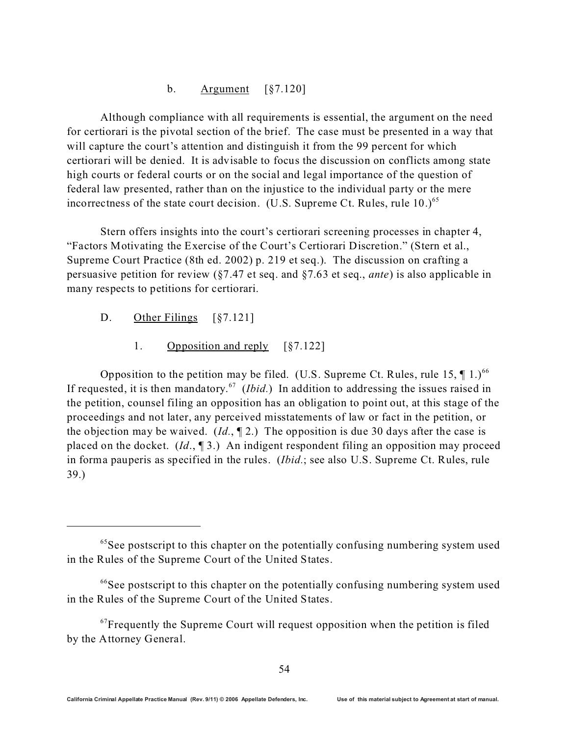#### b. Argument [§7.120]

Although compliance with all requirements is essential, the argument on the need for certiorari is the pivotal section of the brief. The case must be presented in a way that will capture the court's attention and distinguish it from the 99 percent for which certiorari will be denied. It is advisable to focus the discussion on conflicts among state high courts or federal courts or on the social and legal importance of the question of federal law presented, rather than on the injustice to the individual party or the mere incorrectness of the state court decision. (U.S. Supreme Ct. Rules, rule  $10^{65}$ )

Stern offers insights into the court's certiorari screening processes in chapter 4, "Factors Motivating the Exercise of the Court's Certiorari Discretion." (Stern et al., Supreme Court Practice (8th ed. 2002) p. 219 et seq.). The discussion on crafting a persuasive petition for review (§7.47 et seq. and §7.63 et seq., *ante*) is also applicable in many respects to petitions for certiorari.

- D. Other Filings [§7.121]
	- 1. Opposition and reply [§7.122]

Opposition to the petition may be filed. (U.S. Supreme Ct. Rules, rule 15,  $\P$  1.)<sup>66</sup> If requested, it is then mandatory.<sup>67</sup> (*Ibid.*) In addition to addressing the issues raised in the petition, counsel filing an opposition has an obligation to point out, at this stage of the proceedings and not later, any perceived misstatements of law or fact in the petition, or the objection may be waived. (*Id.*, ¶ 2.) The opposition is due 30 days after the case is placed on the docket. (*Id*., ¶ 3.) An indigent respondent filing an opposition may proceed in forma pauperis as specified in the rules. (*Ibid.*; see also U.S. Supreme Ct. Rules, rule 39.)

<sup>&</sup>lt;sup>65</sup>See postscript to this chapter on the potentially confusing numbering system used in the Rules of the Supreme Court of the United States.

<sup>&</sup>lt;sup>66</sup>See postscript to this chapter on the potentially confusing numbering system used in the Rules of the Supreme Court of the United States.

 $67$  Frequently the Supreme Court will request opposition when the petition is filed by the Attorney General.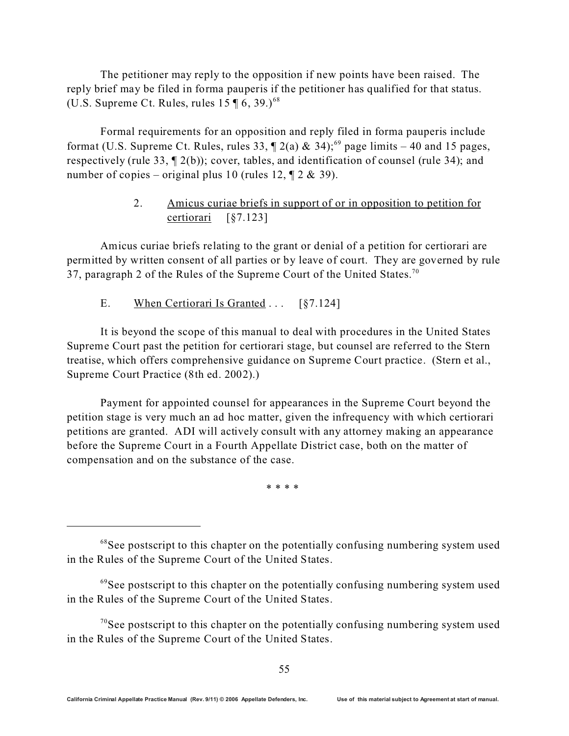The petitioner may reply to the opposition if new points have been raised. The reply brief may be filed in forma pauperis if the petitioner has qualified for that status. (U.S. Supreme Ct. Rules, rules  $15 \text{ } 16, 39.$ )<sup>68</sup>

Formal requirements for an opposition and reply filed in forma pauperis include format (U.S. Supreme Ct. Rules, rules 33,  $\P$  2(a) & 34);<sup>69</sup> page limits – 40 and 15 pages, respectively (rule 33, ¶ 2(b)); cover, tables, and identification of counsel (rule 34); and number of copies – original plus 10 (rules 12,  $\mathbb{I} \times 2 \& 39$ ).

### 2. Amicus curiae briefs in support of or in opposition to petition for certiorari [§7.123]

Amicus curiae briefs relating to the grant or denial of a petition for certiorari are permitted by written consent of all parties or by leave of court. They are governed by rule 37, paragraph 2 of the Rules of the Supreme Court of the United States.<sup>70</sup>

E. When Certiorari Is Granted ... [§7.124]

It is beyond the scope of this manual to deal with procedures in the United States Supreme Court past the petition for certiorari stage, but counsel are referred to the Stern treatise, which offers comprehensive guidance on Supreme Court practice. (Stern et al., Supreme Court Practice (8th ed. 2002).)

Payment for appointed counsel for appearances in the Supreme Court beyond the petition stage is very much an ad hoc matter, given the infrequency with which certiorari petitions are granted. ADI will actively consult with any attorney making an appearance before the Supreme Court in a Fourth Appellate District case, both on the matter of compensation and on the substance of the case.

\* \* \* \*

<sup>&</sup>lt;sup>68</sup>See postscript to this chapter on the potentially confusing numbering system used in the Rules of the Supreme Court of the United States.

<sup>&</sup>lt;sup>69</sup>See postscript to this chapter on the potentially confusing numbering system used in the Rules of the Supreme Court of the United States.

 $70$ See postscript to this chapter on the potentially confusing numbering system used in the Rules of the Supreme Court of the United States.